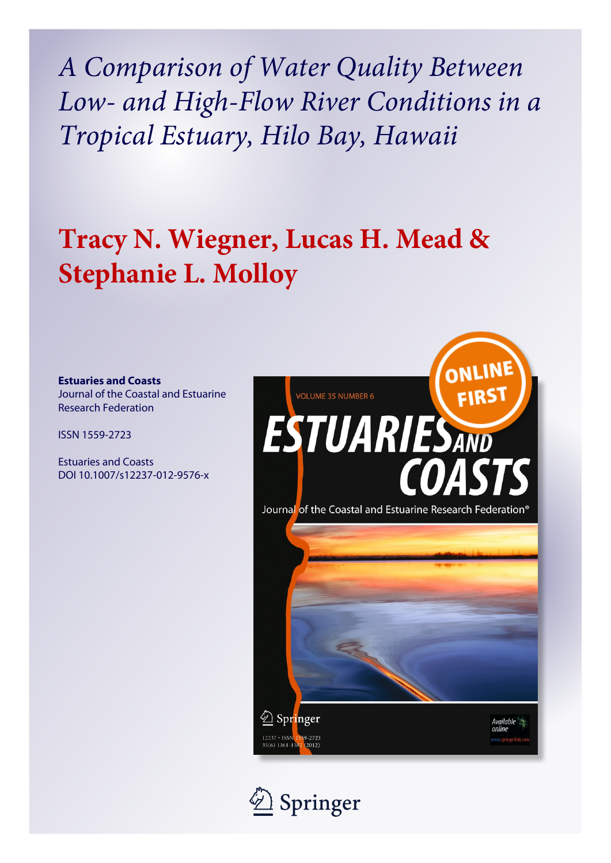*A Comparison of Water Quality Between Low- and High-Flow River Conditions in a Tropical Estuary, Hilo Bay, Hawaii*

## **Tracy N. Wiegner, Lucas H. Mead & Stephanie L. Molloy**

**Estuaries and Coasts** Journal of the Coastal and Estuarine

Research Federation

ISSN 1559-2723

Estuaries and Coasts DOI 10.1007/s12237-012-9576-x



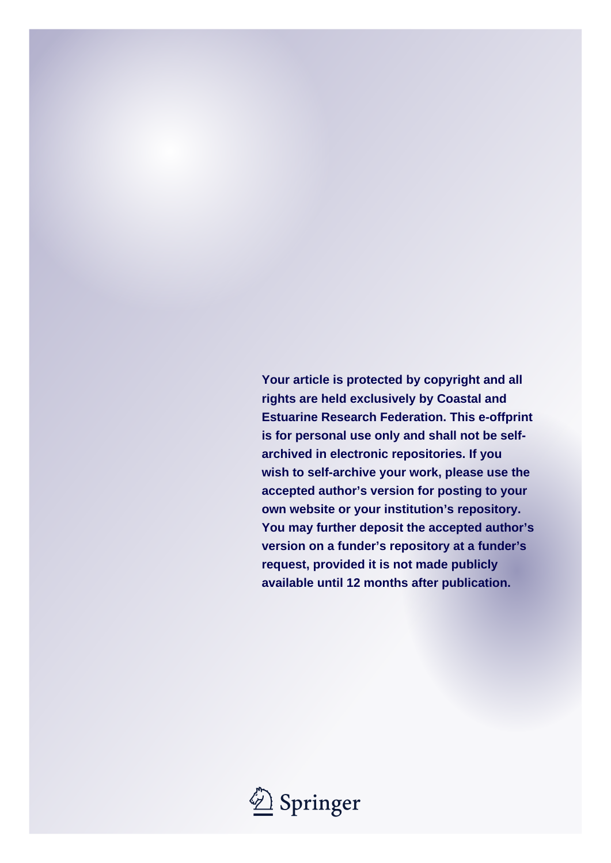**Your article is protected by copyright and all rights are held exclusively by Coastal and Estuarine Research Federation. This e-offprint is for personal use only and shall not be selfarchived in electronic repositories. If you wish to self-archive your work, please use the accepted author's version for posting to your own website or your institution's repository. You may further deposit the accepted author's version on a funder's repository at a funder's request, provided it is not made publicly available until 12 months after publication.**

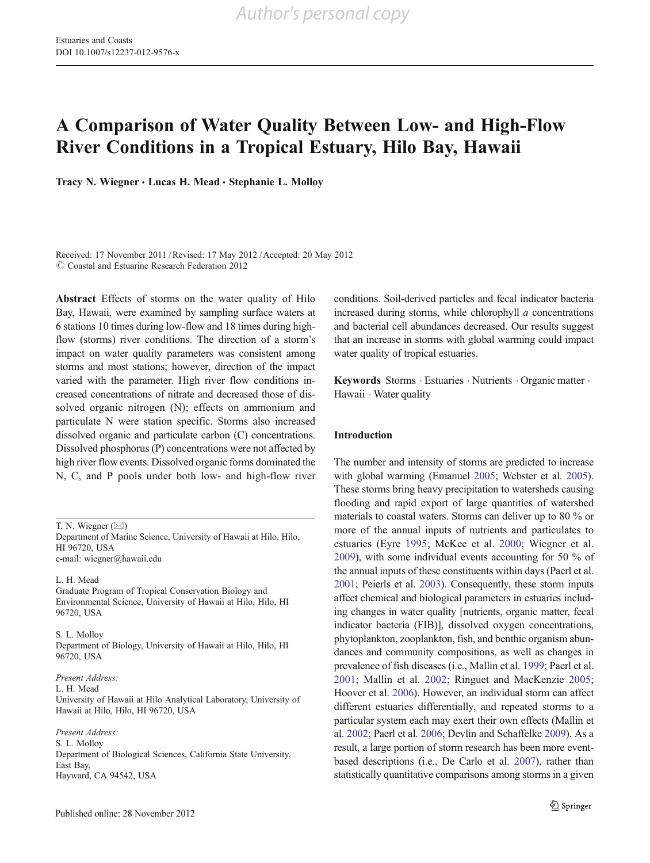## A Comparison of Water Quality Between Low- and High-Flow River Conditions in a Tropical Estuary, Hilo Bay, Hawaii

Tracy N. Wiegner · Lucas H. Mead · Stephanie L. Molloy

Received: 17 November 2011 /Revised: 17 May 2012 /Accepted: 20 May 2012  $\odot$  Coastal and Estuarine Research Federation 2012

Abstract Effects of storms on the water quality of Hilo Bay, Hawaii, were examined by sampling surface waters at 6 stations 10 times during low-flow and 18 times during highflow (storms) river conditions. The direction of a storm's impact on water quality parameters was consistent among storms and most stations; however, direction of the impact varied with the parameter. High river flow conditions increased concentrations of nitrate and decreased those of dissolved organic nitrogen (N); effects on ammonium and particulate N were station specific. Storms also increased dissolved organic and particulate carbon (C) concentrations. Dissolved phosphorus (P) concentrations were not affected by high river flow events. Dissolved organic forms dominated the N, C, and P pools under both low- and high-flow river

T. N. Wiegner  $(\boxtimes)$ 

Department of Marine Science, University of Hawaii at Hilo, Hilo, HI 96720, USA e-mail: wiegner@hawaii.edu

#### L. H. Mead

Graduate Program of Tropical Conservation Biology and Environmental Science, University of Hawaii at Hilo, Hilo, HI 96720, USA

#### S. L. Molloy

Department of Biology, University of Hawaii at Hilo, Hilo, HI 96720, USA

#### Present Address:

#### L. H. Mead

University of Hawaii at Hilo Analytical Laboratory, University of Hawaii at Hilo, Hilo, HI 96720, USA

#### Present Address:

S. L. Molloy Department of Biological Sciences, California State University, East Bay, Hayward, CA 94542, USA

conditions. Soil-derived particles and fecal indicator bacteria increased during storms, while chlorophyll a concentrations and bacterial cell abundances decreased. Our results suggest that an increase in storms with global warming could impact water quality of tropical estuaries.

Keywords Storms . Estuaries . Nutrients . Organic matter . Hawaii . Water quality

#### Introduction

The number and intensity of storms are predicted to increase with global warming (Emanuel [2005;](#page-14-0) Webster et al. [2005\)](#page-16-0). These storms bring heavy precipitation to watersheds causing flooding and rapid export of large quantities of watershed materials to coastal waters. Storms can deliver up to 80 % or more of the annual inputs of nutrients and particulates to estuaries (Eyre [1995;](#page-14-0) McKee et al. [2000;](#page-15-0) Wiegner et al. [2009\)](#page-16-0), with some individual events accounting for 50 % of the annual inputs of these constituents within days (Paerl et al. [2001;](#page-15-0) Peierls et al. [2003](#page-15-0)). Consequently, these storm inputs affect chemical and biological parameters in estuaries including changes in water quality [nutrients, organic matter, fecal indicator bacteria (FIB)], dissolved oxygen concentrations, phytoplankton, zooplankton, fish, and benthic organism abundances and community compositions, as well as changes in prevalence of fish diseases (i.e., Mallin et al. [1999;](#page-15-0) Paerl et al. [2001](#page-15-0); Mallin et al. [2002;](#page-15-0) Ringuet and MacKenzie [2005;](#page-15-0) Hoover et al. [2006](#page-14-0)). However, an individual storm can affect different estuaries differentially, and repeated storms to a particular system each may exert their own effects (Mallin et al. [2002](#page-15-0); Paerl et al. [2006](#page-15-0); Devlin and Schaffelke [2009\)](#page-14-0). As a result, a large portion of storm research has been more eventbased descriptions (i.e., De Carlo et al. [2007\)](#page-14-0), rather than statistically quantitative comparisons among storms in a given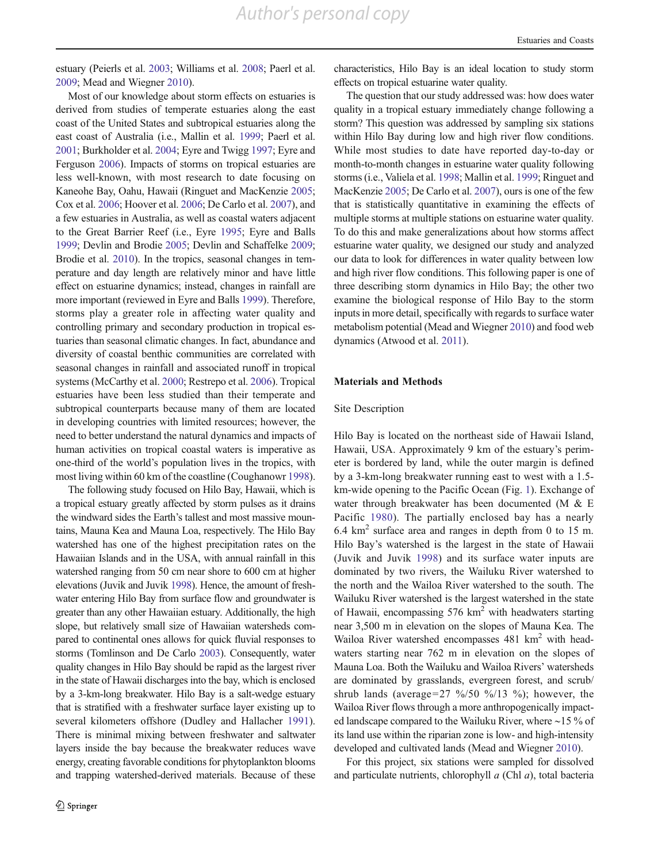estuary (Peierls et al. [2003;](#page-15-0) Williams et al. [2008](#page-16-0); Paerl et al. [2009;](#page-15-0) Mead and Wiegner [2010\)](#page-15-0).

Most of our knowledge about storm effects on estuaries is derived from studies of temperate estuaries along the east coast of the United States and subtropical estuaries along the east coast of Australia (i.e., Mallin et al. [1999;](#page-15-0) Paerl et al. [2001;](#page-15-0) Burkholder et al. [2004;](#page-14-0) Eyre and Twigg [1997;](#page-14-0) Eyre and Ferguson [2006](#page-14-0)). Impacts of storms on tropical estuaries are less well-known, with most research to date focusing on Kaneohe Bay, Oahu, Hawaii (Ringuet and MacKenzie [2005](#page-15-0); Cox et al. [2006](#page-14-0); Hoover et al. [2006](#page-14-0); De Carlo et al. [2007](#page-14-0)), and a few estuaries in Australia, as well as coastal waters adjacent to the Great Barrier Reef (i.e., Eyre [1995;](#page-14-0) Eyre and Balls [1999;](#page-14-0) Devlin and Brodie [2005](#page-14-0); Devlin and Schaffelke [2009](#page-14-0); Brodie et al. [2010](#page-14-0)). In the tropics, seasonal changes in temperature and day length are relatively minor and have little effect on estuarine dynamics; instead, changes in rainfall are more important (reviewed in Eyre and Balls [1999](#page-14-0)). Therefore, storms play a greater role in affecting water quality and controlling primary and secondary production in tropical estuaries than seasonal climatic changes. In fact, abundance and diversity of coastal benthic communities are correlated with seasonal changes in rainfall and associated runoff in tropical systems (McCarthy et al. [2000](#page-15-0); Restrepo et al. [2006](#page-15-0)). Tropical estuaries have been less studied than their temperate and subtropical counterparts because many of them are located in developing countries with limited resources; however, the need to better understand the natural dynamics and impacts of human activities on tropical coastal waters is imperative as one-third of the world's population lives in the tropics, with most living within 60 km of the coastline (Coughanowr [1998\)](#page-14-0).

The following study focused on Hilo Bay, Hawaii, which is a tropical estuary greatly affected by storm pulses as it drains the windward sides the Earth's tallest and most massive mountains, Mauna Kea and Mauna Loa, respectively. The Hilo Bay watershed has one of the highest precipitation rates on the Hawaiian Islands and in the USA, with annual rainfall in this watershed ranging from 50 cm near shore to 600 cm at higher elevations (Juvik and Juvik [1998\)](#page-15-0). Hence, the amount of freshwater entering Hilo Bay from surface flow and groundwater is greater than any other Hawaiian estuary. Additionally, the high slope, but relatively small size of Hawaiian watersheds compared to continental ones allows for quick fluvial responses to storms (Tomlinson and De Carlo [2003\)](#page-15-0). Consequently, water quality changes in Hilo Bay should be rapid as the largest river in the state of Hawaii discharges into the bay, which is enclosed by a 3-km-long breakwater. Hilo Bay is a salt-wedge estuary that is stratified with a freshwater surface layer existing up to several kilometers offshore (Dudley and Hallacher [1991](#page-14-0)). There is minimal mixing between freshwater and saltwater layers inside the bay because the breakwater reduces wave energy, creating favorable conditions for phytoplankton blooms and trapping watershed-derived materials. Because of these characteristics, Hilo Bay is an ideal location to study storm effects on tropical estuarine water quality.

The question that our study addressed was: how does water quality in a tropical estuary immediately change following a storm? This question was addressed by sampling six stations within Hilo Bay during low and high river flow conditions. While most studies to date have reported day-to-day or month-to-month changes in estuarine water quality following storms (i.e., Valiela et al. [1998](#page-15-0); Mallin et al. [1999;](#page-15-0) Ringuet and MacKenzie [2005;](#page-15-0) De Carlo et al. [2007](#page-14-0)), ours is one of the few that is statistically quantitative in examining the effects of multiple storms at multiple stations on estuarine water quality. To do this and make generalizations about how storms affect estuarine water quality, we designed our study and analyzed our data to look for differences in water quality between low and high river flow conditions. This following paper is one of three describing storm dynamics in Hilo Bay; the other two examine the biological response of Hilo Bay to the storm inputs in more detail, specifically with regards to surface water metabolism potential (Mead and Wiegner [2010\)](#page-15-0) and food web dynamics (Atwood et al. [2011](#page-13-0)).

#### Materials and Methods

#### Site Description

Hilo Bay is located on the northeast side of Hawaii Island, Hawaii, USA. Approximately 9 km of the estuary's perimeter is bordered by land, while the outer margin is defined by a 3-km-long breakwater running east to west with a 1.5 km-wide opening to the Pacific Ocean (Fig. [1](#page-4-0)). Exchange of water through breakwater has been documented (M & E Pacific [1980](#page-15-0)). The partially enclosed bay has a nearly 6.4  $\text{km}^2$  surface area and ranges in depth from 0 to 15 m. Hilo Bay's watershed is the largest in the state of Hawaii (Juvik and Juvik [1998\)](#page-15-0) and its surface water inputs are dominated by two rivers, the Wailuku River watershed to the north and the Wailoa River watershed to the south. The Wailuku River watershed is the largest watershed in the state of Hawaii, encompassing  $576 \text{ km}^2$  with headwaters starting near 3,500 m in elevation on the slopes of Mauna Kea. The Wailoa River watershed encompasses 481 km<sup>2</sup> with headwaters starting near 762 m in elevation on the slopes of Mauna Loa. Both the Wailuku and Wailoa Rivers' watersheds are dominated by grasslands, evergreen forest, and scrub/ shrub lands (average=27 %/50 %/13 %); however, the Wailoa River flows through a more anthropogenically impacted landscape compared to the Wailuku River, where ∼15 % of its land use within the riparian zone is low- and high-intensity developed and cultivated lands (Mead and Wiegner [2010](#page-15-0)).

For this project, six stations were sampled for dissolved and particulate nutrients, chlorophyll a (Chl a), total bacteria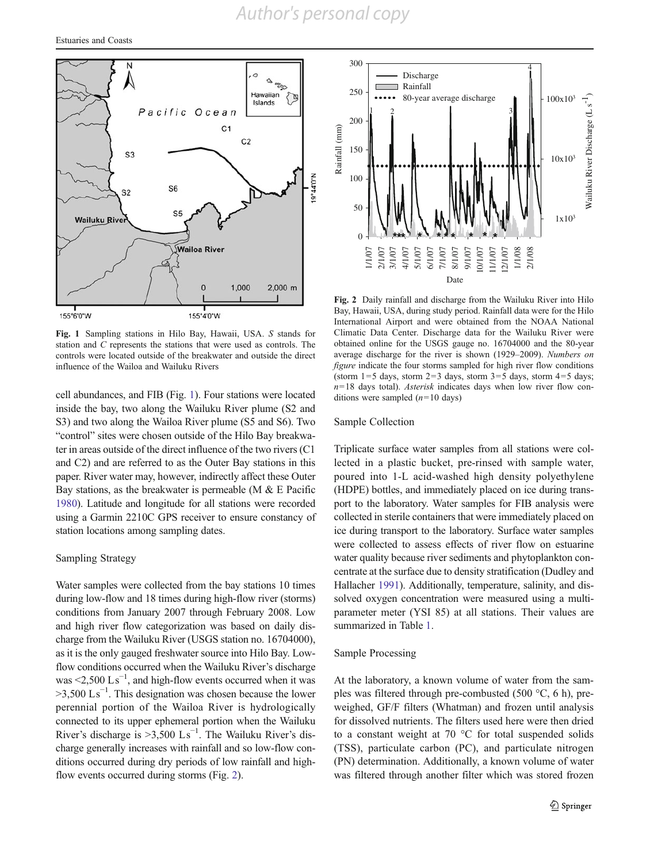<span id="page-4-0"></span>

Fig. 1 Sampling stations in Hilo Bay, Hawaii, USA. S stands for station and C represents the stations that were used as controls. The controls were located outside of the breakwater and outside the direct influence of the Wailoa and Wailuku Rivers

cell abundances, and FIB (Fig. 1). Four stations were located inside the bay, two along the Wailuku River plume (S2 and S3) and two along the Wailoa River plume (S5 and S6). Two "control" sites were chosen outside of the Hilo Bay breakwater in areas outside of the direct influence of the two rivers (C1 and C2) and are referred to as the Outer Bay stations in this paper. River water may, however, indirectly affect these Outer Bay stations, as the breakwater is permeable ( $M \& E$  Pacific [1980\)](#page-15-0). Latitude and longitude for all stations were recorded using a Garmin 2210C GPS receiver to ensure constancy of station locations among sampling dates.

#### Sampling Strategy

Water samples were collected from the bay stations 10 times during low-flow and 18 times during high-flow river (storms) conditions from January 2007 through February 2008. Low and high river flow categorization was based on daily discharge from the Wailuku River (USGS station no. 16704000), as it is the only gauged freshwater source into Hilo Bay. Lowflow conditions occurred when the Wailuku River's discharge was <2,500  $\text{Ls}^{-1}$ , and high-flow events occurred when it was  $>3,500$  Ls<sup>-1</sup>. This designation was chosen because the lower perennial portion of the Wailoa River is hydrologically connected to its upper ephemeral portion when the Wailuku River's discharge is >3,500  $\text{Ls}^{-1}$ . The Wailuku River's discharge generally increases with rainfall and so low-flow conditions occurred during dry periods of low rainfall and highflow events occurred during storms (Fig. 2).



Fig. 2 Daily rainfall and discharge from the Wailuku River into Hilo Bay, Hawaii, USA, during study period. Rainfall data were for the Hilo International Airport and were obtained from the NOAA National Climatic Data Center. Discharge data for the Wailuku River were obtained online for the USGS gauge no. 16704000 and the 80-year average discharge for the river is shown (1929–2009). Numbers on figure indicate the four storms sampled for high river flow conditions (storm  $1=5$  days, storm  $2=3$  days, storm  $3=5$  days, storm  $4=5$  days;  $n=18$  days total). Asterisk indicates days when low river flow conditions were sampled  $(n=10 \text{ days})$ 

#### Sample Collection

Triplicate surface water samples from all stations were collected in a plastic bucket, pre-rinsed with sample water, poured into 1-L acid-washed high density polyethylene (HDPE) bottles, and immediately placed on ice during transport to the laboratory. Water samples for FIB analysis were collected in sterile containers that were immediately placed on ice during transport to the laboratory. Surface water samples were collected to assess effects of river flow on estuarine water quality because river sediments and phytoplankton concentrate at the surface due to density stratification (Dudley and Hallacher [1991](#page-14-0)). Additionally, temperature, salinity, and dissolved oxygen concentration were measured using a multiparameter meter (YSI 85) at all stations. Their values are summarized in Table [1](#page-5-0).

#### Sample Processing

At the laboratory, a known volume of water from the samples was filtered through pre-combusted (500 °C, 6 h), preweighed, GF/F filters (Whatman) and frozen until analysis for dissolved nutrients. The filters used here were then dried to a constant weight at 70 °C for total suspended solids (TSS), particulate carbon (PC), and particulate nitrogen (PN) determination. Additionally, a known volume of water was filtered through another filter which was stored frozen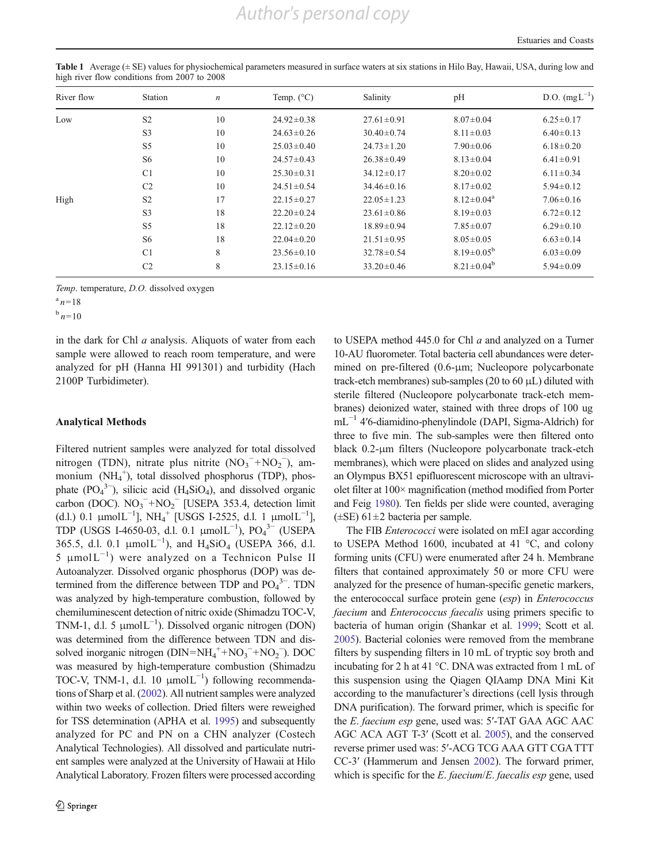| River flow | Station        | $\boldsymbol{n}$ | Temp. $(^{\circ}C)$ | Salinity         | pH                      | D.O. $(mgL^{-1})$ |
|------------|----------------|------------------|---------------------|------------------|-------------------------|-------------------|
| Low        | S <sub>2</sub> | 10               | $24.92 \pm 0.38$    | $27.61 \pm 0.91$ | $8.07 \pm 0.04$         | $6.25 \pm 0.17$   |
|            | S <sub>3</sub> | 10               | $24.63 \pm 0.26$    | $30.40 \pm 0.74$ | $8.11 \pm 0.03$         | $6.40 \pm 0.13$   |
|            | S <sub>5</sub> | 10               | $25.03 \pm 0.40$    | $24.73 \pm 1.20$ | $7.90 \pm 0.06$         | $6.18 \pm 0.20$   |
|            | S <sub>6</sub> | 10               | $24.57 \pm 0.43$    | $26.38 \pm 0.49$ | $8.13 \pm 0.04$         | $6.41 \pm 0.91$   |
|            | C <sub>1</sub> | 10               | $25.30 \pm 0.31$    | $34.12 \pm 0.17$ | $8.20 \pm 0.02$         | $6.11 \pm 0.34$   |
|            | C <sub>2</sub> | 10               | $24.51 \pm 0.54$    | $34.46 \pm 0.16$ | $8.17 \pm 0.02$         | $5.94 \pm 0.12$   |
| High       | S <sub>2</sub> | 17               | $22.15 \pm 0.27$    | $22.05 \pm 1.23$ | $8.12 \pm 0.04^a$       | $7.06 \pm 0.16$   |
|            | S <sub>3</sub> | 18               | $22.20 \pm 0.24$    | $23.61 \pm 0.86$ | $8.19 \pm 0.03$         | $6.72 \pm 0.12$   |
|            | S <sub>5</sub> | 18               | $22.12 \pm 0.20$    | $18.89 \pm 0.94$ | $7.85 \pm 0.07$         | $6.29 \pm 0.10$   |
|            | S <sub>6</sub> | 18               | $22.04 \pm 0.20$    | $21.51 \pm 0.95$ | $8.05 \pm 0.05$         | $6.63 \pm 0.14$   |
|            | C <sub>1</sub> | 8                | $23.56 \pm 0.10$    | $32.78 \pm 0.54$ | $8.19 \pm 0.05^{\rm b}$ | $6.03 \pm 0.09$   |
|            | C <sub>2</sub> | 8                | $23.15 \pm 0.16$    | $33.20 \pm 0.46$ | $8.21 \pm 0.04^b$       | $5.94 \pm 0.09$   |

<span id="page-5-0"></span>Table 1 Average (± SE) values for physiochemical parameters measured in surface waters at six stations in Hilo Bay, Hawaii, USA, during low and high river flow conditions from 2007 to 2008

Temp. temperature, D.O. dissolved oxygen

 $n^a n=18$ 

 $b_{n=10}$ 

in the dark for Chl  $a$  analysis. Aliquots of water from each sample were allowed to reach room temperature, and were analyzed for pH (Hanna HI 991301) and turbidity (Hach 2100P Turbidimeter).

#### Analytical Methods

Filtered nutrient samples were analyzed for total dissolved nitrogen (TDN), nitrate plus nitrite  $(NO<sub>3</sub><sup>-</sup>+NO<sub>2</sub><sup>-</sup>)$ , ammonium (NH<sub>4</sub><sup>+</sup>), total dissolved phosphorus (TDP), phosphate  $(PO<sub>4</sub><sup>3</sup>-)$ , silicic acid  $(H<sub>4</sub>SiO<sub>4</sub>)$ , and dissolved organic carbon (DOC).  $NO_3^- + NO_2^-$  [USEPA 353.4, detection limit (d.l.) 0.1  $\mu$ molL<sup>-1</sup>], NH<sub>4</sub><sup>+</sup> [USGS I-2525, d.l. 1  $\mu$ molL<sup>-1</sup>], TDP (USGS I-4650-03, d.l. 0.1  $\mu$ mol $L^{-1}$ ), PO<sub>4</sub><sup>3-</sup> (USEPA 365.5, d.l. 0.1  $\mu$ mol $L^{-1}$ ), and  $H_4SiO_4$  (USEPA 366, d.l. 5 μmol $L^{-1}$ ) were analyzed on a Technicon Pulse II Autoanalyzer. Dissolved organic phosphorus (DOP) was determined from the difference between TDP and  $PO<sub>4</sub><sup>3–</sup>$ . TDN was analyzed by high-temperature combustion, followed by chemiluminescent detection of nitric oxide (Shimadzu TOC-V, TNM-1, d.l. 5 μmolL−<sup>1</sup> ). Dissolved organic nitrogen (DON) was determined from the difference between TDN and dissolved inorganic nitrogen  $(DIN=NH_4^+ + NO_3^- + NO_2^-)$ . DOC was measured by high-temperature combustion (Shimadzu TOC-V, TNM-1, d.l. 10  $\mu$ mol $L^{-1}$ ) following recommendations of Sharp et al. [\(2002](#page-15-0)). All nutrient samples were analyzed within two weeks of collection. Dried filters were reweighed for TSS determination (APHA et al. [1995\)](#page-13-0) and subsequently analyzed for PC and PN on a CHN analyzer (Costech Analytical Technologies). All dissolved and particulate nutrient samples were analyzed at the University of Hawaii at Hilo Analytical Laboratory. Frozen filters were processed according to USEPA method 445.0 for Chl a and analyzed on a Turner 10-AU fluorometer. Total bacteria cell abundances were determined on pre-filtered (0.6-μm; Nucleopore polycarbonate track-etch membranes) sub-samples (20 to 60 μL) diluted with sterile filtered (Nucleopore polycarbonate track-etch membranes) deionized water, stained with three drops of 100 ug mL−<sup>1</sup> 4′6-diamidino-phenylindole (DAPI, Sigma-Aldrich) for three to five min. The sub-samples were then filtered onto black 0.2-μm filters (Nucleopore polycarbonate track-etch membranes), which were placed on slides and analyzed using an Olympus BX51 epifluorescent microscope with an ultraviolet filter at 100× magnification (method modified from Porter and Feig [1980\)](#page-15-0). Ten fields per slide were counted, averaging  $(\pm SE)$  61 $\pm$ 2 bacteria per sample.

The FIB Enterococci were isolated on mEI agar according to USEPA Method 1600, incubated at 41 °C, and colony forming units (CFU) were enumerated after 24 h. Membrane filters that contained approximately 50 or more CFU were analyzed for the presence of human-specific genetic markers, the enterococcal surface protein gene (esp) in Enterococcus faecium and Enterococcus faecalis using primers specific to bacteria of human origin (Shankar et al. [1999](#page-15-0); Scott et al. [2005\)](#page-15-0). Bacterial colonies were removed from the membrane filters by suspending filters in 10 mL of tryptic soy broth and incubating for 2 h at 41 °C. DNA was extracted from 1 mL of this suspension using the Qiagen QIAamp DNA Mini Kit according to the manufacturer's directions (cell lysis through DNA purification). The forward primer, which is specific for the E. faecium esp gene, used was: 5′-TAT GAA AGC AAC AGC ACA AGT T-3′ (Scott et al. [2005\)](#page-15-0), and the conserved reverse primer used was: 5′-ACG TCG AAA GTT CGA TTT CC-3′ (Hammerum and Jensen [2002\)](#page-14-0). The forward primer, which is specific for the E. faecium/E. faecalis esp gene, used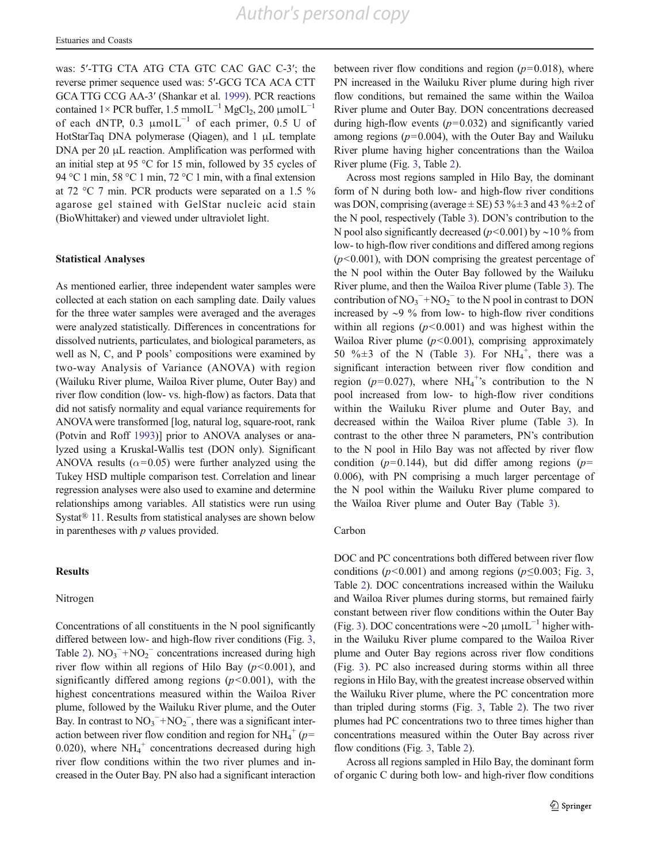was: 5′-TTG CTA ATG CTA GTC CAC GAC C-3′; the reverse primer sequence used was: 5′-GCG TCA ACA CTT GCA TTG CCG AA-3′ (Shankar et al. [1999\)](#page-15-0). PCR reactions contained 1× PCR buffer, 1.5 mmolL<sup>-1</sup> MgCl<sub>2</sub>, 200  $\mu$ molL<sup>-1</sup> of each dNTP, 0.3  $\mu$ molL<sup>-1</sup> of each primer, 0.5 U of HotStarTaq DNA polymerase (Qiagen), and 1 μL template DNA per 20 μL reaction. Amplification was performed with an initial step at 95 °C for 15 min, followed by 35 cycles of 94 °C 1 min, 58 °C 1 min, 72 °C 1 min, with a final extension at 72 °C 7 min. PCR products were separated on a 1.5 % agarose gel stained with GelStar nucleic acid stain (BioWhittaker) and viewed under ultraviolet light.

#### Statistical Analyses

As mentioned earlier, three independent water samples were collected at each station on each sampling date. Daily values for the three water samples were averaged and the averages were analyzed statistically. Differences in concentrations for dissolved nutrients, particulates, and biological parameters, as well as N, C, and P pools' compositions were examined by two-way Analysis of Variance (ANOVA) with region (Wailuku River plume, Wailoa River plume, Outer Bay) and river flow condition (low- vs. high-flow) as factors. Data that did not satisfy normality and equal variance requirements for ANOVA were transformed [log, natural log, square-root, rank (Potvin and Roff [1993](#page-15-0))] prior to ANOVA analyses or analyzed using a Kruskal-Wallis test (DON only). Significant ANOVA results ( $\alpha$ =0.05) were further analyzed using the Tukey HSD multiple comparison test. Correlation and linear regression analyses were also used to examine and determine relationships among variables. All statistics were run using Systat® 11. Results from statistical analyses are shown below in parentheses with  $p$  values provided.

#### Results

#### Nitrogen

Concentrations of all constituents in the N pool significantly differed between low- and high-flow river conditions (Fig. [3,](#page-7-0) Table [2\)](#page-8-0).  $NO_3^- + NO_2^-$  concentrations increased during high river flow within all regions of Hilo Bay  $(p<0.001)$ , and significantly differed among regions  $(p<0.001)$ , with the highest concentrations measured within the Wailoa River plume, followed by the Wailuku River plume, and the Outer Bay. In contrast to  $NO_3^- + NO_2^-$ , there was a significant interaction between river flow condition and region for  $NH_4^+$  ( $p=$ 0.020), where  $NH_4^+$  concentrations decreased during high river flow conditions within the two river plumes and increased in the Outer Bay. PN also had a significant interaction between river flow conditions and region  $(p=0.018)$ , where PN increased in the Wailuku River plume during high river flow conditions, but remained the same within the Wailoa River plume and Outer Bay. DON concentrations decreased during high-flow events  $(p=0.032)$  and significantly varied among regions ( $p=0.004$ ), with the Outer Bay and Wailuku River plume having higher concentrations than the Wailoa River plume (Fig. [3](#page-7-0), Table [2](#page-8-0)).

Across most regions sampled in Hilo Bay, the dominant form of N during both low- and high-flow river conditions was DON, comprising (average  $\pm$  SE) 53 % $\pm$ 3 and 43 % $\pm$ 2 of the N pool, respectively (Table [3\)](#page-9-0). DON's contribution to the N pool also significantly decreased (p<0.001) by ~10 % from low- to high-flow river conditions and differed among regions  $(p<0.001)$ , with DON comprising the greatest percentage of the N pool within the Outer Bay followed by the Wailuku River plume, and then the Wailoa River plume (Table [3](#page-9-0)). The contribution of  $NO_3^- + NO_2^-$  to the N pool in contrast to DON increased by ∼9 % from low- to high-flow river conditions within all regions  $(p<0.001)$  and was highest within the Wailoa River plume  $(p<0.001)$ , comprising approximately 50 % $\pm$ [3](#page-9-0) of the N (Table 3). For NH<sub>4</sub><sup>+</sup>, there was a significant interaction between river flow condition and region ( $p=0.027$ ), where NH<sub>4</sub><sup>+</sup>'s contribution to the N pool increased from low- to high-flow river conditions within the Wailuku River plume and Outer Bay, and decreased within the Wailoa River plume (Table [3\)](#page-9-0). In contrast to the other three N parameters, PN's contribution to the N pool in Hilo Bay was not affected by river flow condition ( $p=0.144$ ), but did differ among regions ( $p=$ 0.006), with PN comprising a much larger percentage of the N pool within the Wailuku River plume compared to the Wailoa River plume and Outer Bay (Table [3\)](#page-9-0).

#### Carbon

DOC and PC concentrations both differed between river flow conditions ( $p<0.001$ ) and among regions ( $p \leq 0.003$ ; Fig. [3,](#page-7-0) Table [2\)](#page-8-0). DOC concentrations increased within the Wailuku and Wailoa River plumes during storms, but remained fairly constant between river flow conditions within the Outer Bay (Fig. [3\)](#page-7-0). DOC concentrations were ~20  $\mu$ mol $L^{-1}$  higher within the Wailuku River plume compared to the Wailoa River plume and Outer Bay regions across river flow conditions (Fig. [3](#page-7-0)). PC also increased during storms within all three regions in Hilo Bay, with the greatest increase observed within the Wailuku River plume, where the PC concentration more than tripled during storms (Fig. [3](#page-7-0), Table [2\)](#page-8-0). The two river plumes had PC concentrations two to three times higher than concentrations measured within the Outer Bay across river flow conditions (Fig. [3](#page-7-0), Table [2\)](#page-8-0).

Across all regions sampled in Hilo Bay, the dominant form of organic C during both low- and high-river flow conditions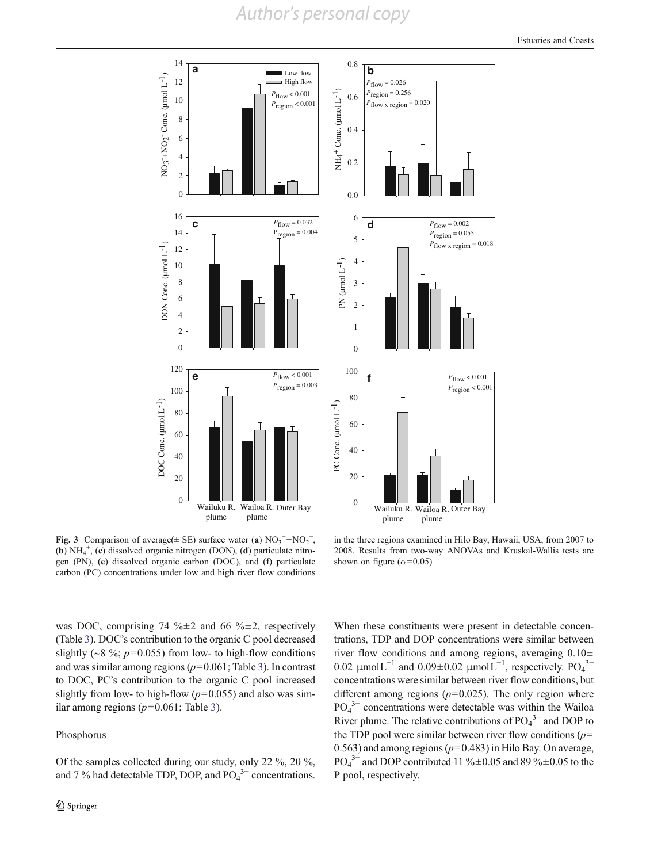### *Author's personal copy*

<span id="page-7-0"></span>

Fig. 3 Comparison of average( $\pm$  SE) surface water (a)  $NO_3^- + NO_2^-$ , (b) NH<sub>4</sub><sup>+</sup>, (c) dissolved organic nitrogen (DON), (d) particulate nitrogen (PN), (e) dissolved organic carbon (DOC), and (f) particulate

in the three regions examined in Hilo Bay, Hawaii, USA, from 2007 to 2008. Results from two-way ANOVAs and Kruskal-Wallis tests are shown on figure ( $\alpha$ =0.05)

 $P_{\text{flow}} < 0.001$ *P*region < 0.001

 $P_{\text{flow}} = 0.002$  $P_{\text{region}} = 0.055$  $P_{\text{flow x region}} = 0.018$ 

was DOC, comprising 74  $\% \pm 2$  and 66  $\% \pm 2$ , respectively (Table [3](#page-9-0)). DOC's contribution to the organic C pool decreased slightly (∼8 %;  $p=0.055$ ) from low- to high-flow conditions and was similar among regions  $(p=0.061;$  Table [3](#page-9-0)). In contrast to DOC, PC's contribution to the organic C pool increased slightly from low- to high-flow  $(p=0.055)$  and also was similar among regions  $(p=0.061;$  Table [3](#page-9-0)).

carbon (PC) concentrations under low and high river flow conditions

#### Phosphorus

Of the samples collected during our study, only 22 %, 20 %, and 7% had detectable TDP, DOP, and  $PO<sub>4</sub><sup>3–</sup>$  concentrations.

When these constituents were present in detectable concentrations, TDP and DOP concentrations were similar between river flow conditions and among regions, averaging  $0.10\pm$ 0.02 μmolL<sup>-1</sup> and  $0.09 \pm 0.02$  μmolL<sup>-1</sup>, respectively. PO<sub>4</sub><sup>3-</sup> concentrations were similar between river flow conditions, but different among regions ( $p=0.025$ ). The only region where  $PO<sub>4</sub><sup>3−</sup>$  concentrations were detectable was within the Wailoa River plume. The relative contributions of  $PO_4^3$  and DOP to the TDP pool were similar between river flow conditions  $(p=$ 0.563) and among regions ( $p=0.483$ ) in Hilo Bay. On average,  $PO<sub>4</sub><sup>3–</sup>$  and DOP contributed 11 % $\pm$ 0.05 and 89 % $\pm$ 0.05 to the P pool, respectively.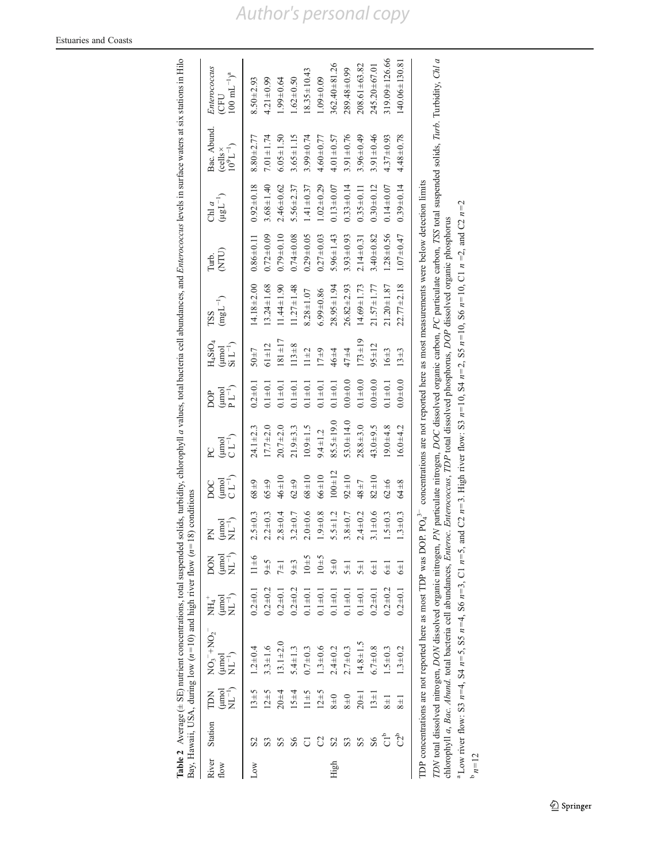# *Author's personal copy*

<span id="page-8-0"></span>

|               |                               |                            | Bay, Hawaii, USA, during low $(n=10)$ and high river flow $(n=18)$ conditions                                                                      |                                                            |                            |                                                              |                                                          |                                |                                    |                                                                                    |                                                                                                        |                                  |                                    |                                           | Table 2 Average $(\pm$ SE) nutrient concentrations, total suspended solids, turbidity, chlorophyll a values, total bacteria cell abundances, and Enterococcus levels in surface waters at six stations in Hilo |
|---------------|-------------------------------|----------------------------|----------------------------------------------------------------------------------------------------------------------------------------------------|------------------------------------------------------------|----------------------------|--------------------------------------------------------------|----------------------------------------------------------|--------------------------------|------------------------------------|------------------------------------------------------------------------------------|--------------------------------------------------------------------------------------------------------|----------------------------------|------------------------------------|-------------------------------------------|----------------------------------------------------------------------------------------------------------------------------------------------------------------------------------------------------------------|
| River<br>flow | Station                       | $N L^{-1}$<br>(µmol<br>TDN | $NO3-+NO2-$<br>$\overline{\text{N L}}^{-1}$<br>(µmol                                                                                               | $\overline{\text{N}}$ L $^{-1}$<br>(µmol<br>$\sum_{4}^{+}$ | $N L^{-1}$<br>(µmol<br>DON | $\begin{pmatrix} \mu m \\ \text{NL}^{-1} \end{pmatrix}$<br>K | $\mathrm{C}$ $\mathrm{L}^{-1}$ )<br>(µmol<br>$_{\rm DC}$ | $\tilde{C} L^{-1}$<br>(µmol    | $\tilde{P} L^{-1}$<br>(µmol<br>DOP | ${\rm H_4SiO_4}$<br>$\ddot{S}i L^{-1}$<br>$\left(\mu \mathrm{m} \mathrm{m}\right)$ | $(\rm{mgL}^{-1})$<br>TSS                                                                               | (ULN<br>Turb.                    | $(\mu g L^{-1})$<br>Chl $a$        | Bac. Abund.<br>$10^{9}L^{-1}$<br>(cells × | Enterococcus<br>$100 \text{ mL}^{-1}$ <sup>2</sup><br><b>CFU</b>                                                                                                                                               |
| Low           | S <sub>2</sub>                | $13 + 5$<br>$12 + 5$       | $3.3 \pm 1.6$<br>$1.2 \pm 0.4$                                                                                                                     | $0.2 + 0.2$<br>$0.2 + 0.1$                                 | $11 \pm 6$<br>$5 + 6$      | $2.5 \pm 0.3$<br>$2.2 + 0.3$                                 | $65 + 9$<br>$64.8 + 69$                                  | $17.7 + 2.0$<br>$24.1 \pm 2.3$ | $0.1 + 0.1$<br>$0.2 + 0.1$         | $61 + 12$<br>$50 + 7$                                                              | $14.18 \pm 2.00$<br>$13.24 \pm 1.68$                                                                   | $0.72 + 0.09$<br>$0.86 \pm 0.11$ | $0.92 \pm 0.18$<br>$3.68 \pm 1.40$ | $7.01 \pm 1.74$<br>$8.80 + 2.77$          | $4.21 \pm 0.99$<br>$8.50 + 2.93$                                                                                                                                                                               |
|               | SS                            | $20 + 4$                   | $13.1 \pm 2.0$                                                                                                                                     | $0.2 + 0.1$                                                | $_{\mp 1}$                 | $2.8 + 0.4$                                                  | $46 + 10$                                                | $20.7 + 2.0$                   | $0.1 + 0.1$                        | $181 \pm 17$                                                                       | $11.44 \pm 1.90$                                                                                       | $0.79 + 0.10$                    | $2.46 \pm 0.62$                    | $6.05 \pm 1.50$                           | $1.99 + 0.64$                                                                                                                                                                                                  |
|               | $\mathcal{S}6$                | $15 + 4$                   | $5.4 \pm 1.3$                                                                                                                                      | $0.2 + 0.2$                                                | $9 + 3$                    | $3.2 \pm 0.7$                                                | $62 + 9$                                                 | $21.9 + 3.3$                   | $0.1 + 0.1$                        | $113 + 8$                                                                          | $11.27 \pm 1.48$                                                                                       | $0.74 + 0.08$                    | $5.56 + 2.37$                      | $3.65 \pm 1.15$                           | $1.62 + 0.50$                                                                                                                                                                                                  |
|               |                               | $11 + 5$                   | $0.7 + 0.3$                                                                                                                                        | $0.1 \pm 0.1$                                              | $10 + 5$                   | $2.0 + 0.6$                                                  | $68 + 10$                                                | $10.9 + 1.5$                   | $0.1 + 0.1$                        | $11 + 2$                                                                           | $8.28 \pm 1.07$                                                                                        | $0.29 + 0.05$                    | $1.41 \pm 0.37$                    | $3.99 \pm 0.74$                           | $18.35 \pm 10.43$                                                                                                                                                                                              |
|               | S                             | $12 + 5$                   | $1.3 + 0.6$                                                                                                                                        | $0.1 + 0.1$                                                | $10 + 5$                   | $1.9 + 0.8$                                                  | $66 + 10$                                                | $9.4 \pm 1.2$                  | $0.1 + 0.1$                        | $17 + 9$                                                                           | $6.99 \pm 0.86$                                                                                        | $0.27 + 0.03$                    | $1.02 + 0.29$                      | $4.60 \pm 0.77$                           | $1.09 + 0.09$                                                                                                                                                                                                  |
| High          | S <sub>2</sub>                | $8\pm 0$                   | $2.4 + 0.2$                                                                                                                                        | $0.1 + 0.1$                                                | $5\pm0$                    | $5.5 \pm 1.2$                                                | $100 \pm 12$                                             | $85.5 \pm 19.0$                | $0.1 + 0.1$                        | $46 + 4$                                                                           | $28.95 \pm 1.94$                                                                                       | $5.96 \pm 1.43$                  | $0.13 + 0.07$                      | $4.01 \pm 0.57$                           | $362.40 \pm 81.26$                                                                                                                                                                                             |
|               |                               | $8\pm 0$                   | $2.7 + 0.3$                                                                                                                                        | $0.1 + 0.1$                                                | $-5 \pm 1$                 | $3.8 + 0.7$                                                  | $92 + 10$                                                | $53.0 \pm 14.0$                | $0.0 + 0.0$                        | $47 + 4$                                                                           | $26.82 + 2.93$                                                                                         | $3.93 + 0.93$                    | $0.33 \pm 0.14$                    | $3.91 \pm 0.76$                           | 289.48±0.99                                                                                                                                                                                                    |
|               | SS                            | $20 \pm 1$                 | $14.8 \pm 1.5$                                                                                                                                     | $0.1 + 0.1$                                                | $\overline{5}$             | $2.4 + 0.2$                                                  | $48 + 7$                                                 | $28.8 + 3.0$                   | $0.1 + 0.0$                        | $173 \pm 19$                                                                       | $14.69 \pm 1.73$                                                                                       | $2.14 \pm 0.31$                  | $0.35 \pm 0.11$                    | $3.96 \pm 0.49$                           | $208.61 \pm 63.82$                                                                                                                                                                                             |
|               | $\overline{\text{S}}\text{6}$ | $13\pm1$                   | $6.7 \pm 0.8$                                                                                                                                      | $0.2 + 0.1$                                                | $\overline{5}$             | $3.1 \pm 0.6$                                                | $82 + 10$                                                | $43.0 + 9.5$                   | $0.0 + 0.0$                        | $95 \pm 12$                                                                        | $21.57 \pm 1.77$                                                                                       | $3.40 + 0.82$                    | $0.30 + 0.12$                      | $3.91 \pm 0.46$                           | $245.20 + 67.01$                                                                                                                                                                                               |
|               | $\overline{C}$                | $_{1\pm}$                  | $1.5 + 0.3$                                                                                                                                        | $0.2 + 0.2$                                                | $\overline{1}$             | $1.5 \pm 0.3$                                                | $62 + 6$                                                 | $19.0 + 4.8$                   | $0.1 + 0.1$                        | $16 + 3$                                                                           | $21.20 \pm 1.87$                                                                                       | $1.28 + 0.56$                    | $0.14 + 0.07$                      | $4.37 + 0.93$                             | 319.09±126.66                                                                                                                                                                                                  |
|               | C2 <sup>b</sup>               | $8\pm1$                    | $1.3 + 0.2$                                                                                                                                        | $0.2 + 0.1$                                                | $6\pm$                     | $1.3 \pm 0.3$                                                | $64 + 8$                                                 | $16.0 + 4.2$                   | $0.0 + 0.0$                        | $13 + 3$                                                                           | $22.77 \pm 2.18$                                                                                       | $1.07 + 0.47$                    | $0.39 + 0.14$                      | $4.48 + 0.78$                             | 140.06±130.81                                                                                                                                                                                                  |
|               |                               |                            | TDP concentrations are not reported here as most TDP was D                                                                                         |                                                            |                            | OP. $PO_{4}^{3-}$                                            |                                                          |                                |                                    |                                                                                    | concentrations are not reported here as most measurements were below detection limits                  |                                  |                                    |                                           |                                                                                                                                                                                                                |
|               |                               |                            | chlorophyll a, Bac. Abund. total bacteria cell abundances, Enteroc. Enterococcus, TDP total dissolved phosphorus, DOP dissolved organic phosphorus |                                                            |                            |                                                              |                                                          |                                |                                    |                                                                                    |                                                                                                        |                                  |                                    |                                           | TDN total dissolved nitrogen, DON dissolved organic nitrogen, PN particulate nitrogen, DOC dissolved organic carbon, PC particulate carbon, TSS total suspended solids, Turbidity, Chl a                       |
|               |                               |                            | <sup>a</sup> Low river flow: S3 $n=4$ , S4 $n=5$ , S5 $n=4$ , S6 $n=3$ , C1 $n=5$                                                                  |                                                            |                            |                                                              |                                                          |                                |                                    |                                                                                    | and C2 $n=3$ . High river flow: S3 $n=10$ , S4 $n=2$ , S5 $n=10$ , S6 $n=10$ , C1 $n=2$ , and C2 $n=2$ |                                  |                                    |                                           |                                                                                                                                                                                                                |
| $n = 12$      |                               |                            |                                                                                                                                                    |                                                            |                            |                                                              |                                                          |                                |                                    |                                                                                    |                                                                                                        |                                  |                                    |                                           |                                                                                                                                                                                                                |

 $\underline{\textcircled{\tiny 2}}$  Springer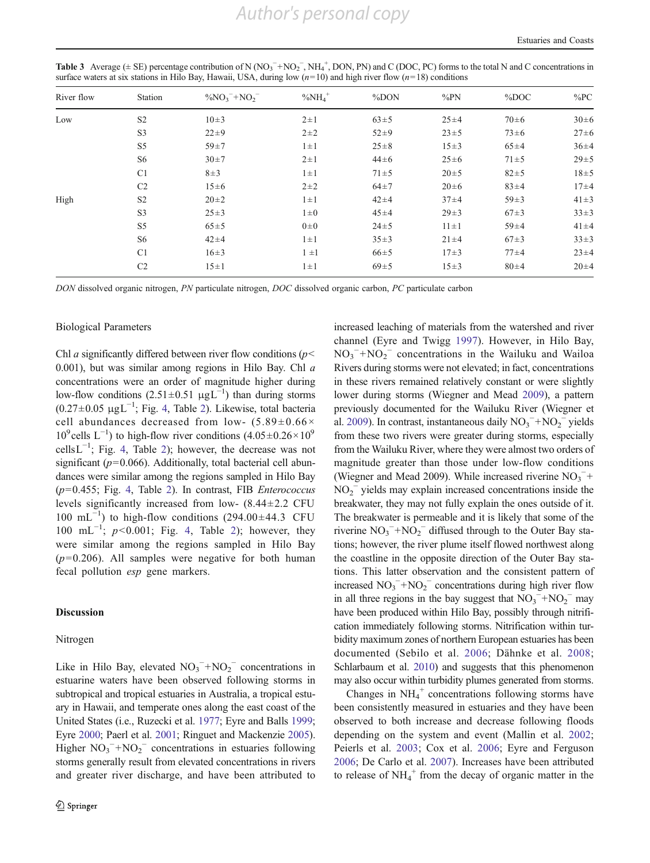| River flow | Station        | $\%NO_3$ <sup>-+</sup> NO <sub>2</sub> <sup>-</sup> | $\%NH_4^+$ | $\%$ DON   | $\%PN$     | $\%$ DOC   | $\%$ PC    |
|------------|----------------|-----------------------------------------------------|------------|------------|------------|------------|------------|
| Low        | S <sub>2</sub> | $10 \pm 3$                                          | $2 \pm 1$  | $63 \pm 5$ | $25 \pm 4$ | $70 \pm 6$ | $30 \pm 6$ |
|            | S <sub>3</sub> | $22\pm9$                                            | $2\pm2$    | $52 \pm 9$ | $23 \pm 5$ | $73 \pm 6$ | $27 \pm 6$ |
|            | S <sub>5</sub> | $59 + 7$                                            | $1 \pm 1$  | $25 \pm 8$ | $15 \pm 3$ | $65 \pm 4$ | $36 + 4$   |
|            | S <sub>6</sub> | $30 + 7$                                            | $2 \pm 1$  | $44\pm 6$  | $25 \pm 6$ | $71 + 5$   | $29 + 5$   |
|            | C <sub>1</sub> | $8\pm3$                                             | $1 \pm 1$  | $71 + 5$   | $20 \pm 5$ | $82 + 5$   | $18 + 5$   |
|            | C <sub>2</sub> | $15 \pm 6$                                          | $2\pm2$    | $64+7$     | $20 \pm 6$ | $83 + 4$   | $17 + 4$   |
| High       | S <sub>2</sub> | $20 \pm 2$                                          | $1 \pm 1$  | $42 + 4$   | $37 + 4$   | $59 + 3$   | $41 \pm 3$ |
|            | S <sub>3</sub> | $25 \pm 3$                                          | $1 \pm 0$  | $45 \pm 4$ | $29 \pm 3$ | $67+3$     | $33 + 3$   |
|            | S <sub>5</sub> | $65 \pm 5$                                          | $0\pm 0$   | $24 \pm 5$ | $11 \pm 1$ | $59 + 4$   | $41 + 4$   |
|            | S <sub>6</sub> | $42\pm4$                                            | $1 \pm 1$  | $35 \pm 3$ | $21 \pm 4$ | $67 + 3$   | $33 + 3$   |
|            | C <sub>1</sub> | $16 \pm 3$                                          | $1 \pm 1$  | $66 \pm 5$ | $17 + 3$   | $77 + 4$   | $23 + 4$   |
|            | C <sub>2</sub> | $15 \pm 1$                                          | $1 \pm 1$  | $69+5$     | $15 \pm 3$ | $80 + 4$   | $20 + 4$   |

<span id="page-9-0"></span>Table 3 Average ( $\pm$  SE) percentage contribution of N (NO<sub>3</sub><sup>-+</sup>NO<sub>2</sub><sup>-</sup>, NH<sub>4</sub><sup>+</sup>, DON, PN) and C (DOC, PC) forms to the total N and C concentrations in surface waters at six stations in Hilo Bay, Hawaii, USA, during low  $(n=10)$  and high river flow  $(n=18)$  conditions

DON dissolved organic nitrogen, PN particulate nitrogen, DOC dissolved organic carbon, PC particulate carbon

#### Biological Parameters

Chl *a* significantly differed between river flow conditions ( $p$  < 0.001), but was similar among regions in Hilo Bay. Chl a concentrations were an order of magnitude higher during low-flow conditions  $(2.51 \pm 0.51 \ \mu gL^{-1})$  than during storms (0.27±0.05 μgL−<sup>1</sup> ; Fig. [4](#page-10-0), Table [2\)](#page-8-0). Likewise, total bacteria cell abundances decreased from low- (5.89±0.66×  $10^9$  cells L<sup>-1</sup>) to high-flow river conditions  $(4.05 \pm 0.26 \times 10^9)$ cells $L^{-1}$ ; Fig. [4](#page-10-0), Table [2\)](#page-8-0); however, the decrease was not significant ( $p=0.066$ ). Additionally, total bacterial cell abundances were similar among the regions sampled in Hilo Bay  $(p=0.455;$  $(p=0.455;$  $(p=0.455;$  Fig. 4, Table [2](#page-8-0)). In contrast, FIB *Enterococcus* levels significantly increased from low- (8.44±2.2 CFU 100 mL $^{-1}$ ) to high-flow conditions (294.00±44.3 CFU 100 mL<sup>-1</sup>;  $p$ <0.001; Fig. [4,](#page-10-0) Table [2\)](#page-8-0); however, they were similar among the regions sampled in Hilo Bay  $(p=0.206)$ . All samples were negative for both human fecal pollution esp gene markers.

#### **Discussion**

#### Nitrogen

Like in Hilo Bay, elevated  $NO_3^- + NO_2^-$  concentrations in estuarine waters have been observed following storms in subtropical and tropical estuaries in Australia, a tropical estuary in Hawaii, and temperate ones along the east coast of the United States (i.e., Ruzecki et al. [1977](#page-15-0); Eyre and Balls [1999](#page-14-0); Eyre [2000;](#page-14-0) Paerl et al. [2001;](#page-15-0) Ringuet and Mackenzie [2005\)](#page-15-0). Higher  $NO_3^- + NO_2^-$  concentrations in estuaries following storms generally result from elevated concentrations in rivers and greater river discharge, and have been attributed to increased leaching of materials from the watershed and river channel (Eyre and Twigg [1997\)](#page-14-0). However, in Hilo Bay,  $NO_3^- + NO_2^-$  concentrations in the Wailuku and Wailoa Rivers during storms were not elevated; in fact, concentrations in these rivers remained relatively constant or were slightly lower during storms (Wiegner and Mead [2009\)](#page-16-0), a pattern previously documented for the Wailuku River (Wiegner et al. [2009](#page-16-0)). In contrast, instantaneous daily  $NO_3^- + NO_2^-$  yields from these two rivers were greater during storms, especially from the Wailuku River, where they were almost two orders of magnitude greater than those under low-flow conditions (Wiegner and Mead 2009). While increased riverine  $NO_3^-$ +  $NO<sub>2</sub><sup>-</sup>$  yields may explain increased concentrations inside the breakwater, they may not fully explain the ones outside of it. The breakwater is permeable and it is likely that some of the riverine  $NO_3^- + NO_2^-$  diffused through to the Outer Bay stations; however, the river plume itself flowed northwest along the coastline in the opposite direction of the Outer Bay stations. This latter observation and the consistent pattern of increased  $NO_3^- + NO_2^-$  concentrations during high river flow in all three regions in the bay suggest that  $\overline{NO_3}^{-} + \overline{NO_2}^{-}$  may have been produced within Hilo Bay, possibly through nitrification immediately following storms. Nitrification within turbidity maximum zones of northern European estuaries has been documented (Sebilo et al. [2006](#page-15-0); Dähnke et al. [2008;](#page-14-0) Schlarbaum et al. [2010](#page-15-0)) and suggests that this phenomenon may also occur within turbidity plumes generated from storms.

Changes in NH<sub>4</sub><sup>+</sup> concentrations following storms have been consistently measured in estuaries and they have been observed to both increase and decrease following floods depending on the system and event (Mallin et al. [2002;](#page-15-0) Peierls et al. [2003](#page-15-0); Cox et al. [2006;](#page-14-0) Eyre and Ferguson [2006](#page-14-0); De Carlo et al. [2007](#page-14-0)). Increases have been attributed to release of NH<sub>4</sub><sup>+</sup> from the decay of organic matter in the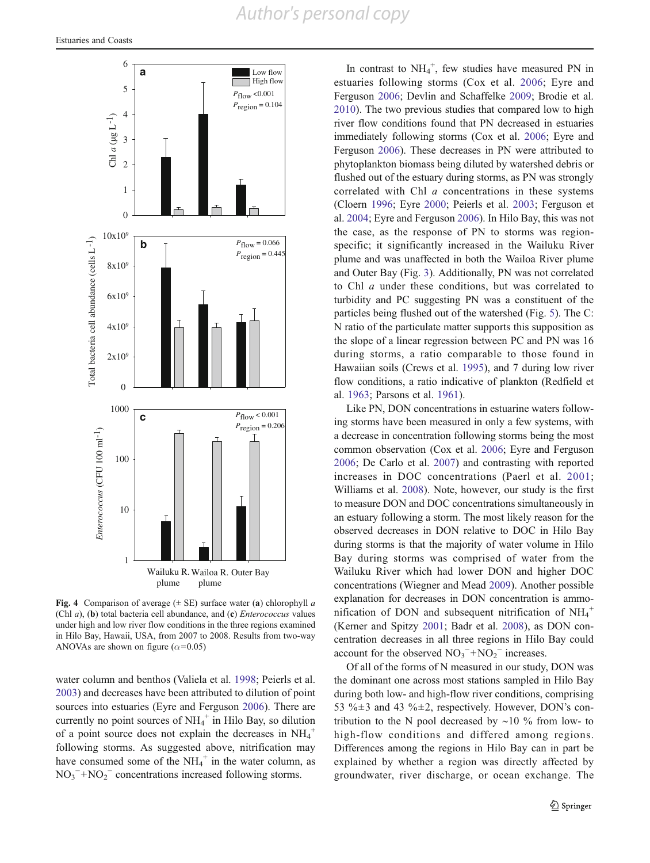<span id="page-10-0"></span>

Fig. 4 Comparison of average  $(\pm \text{ SE})$  surface water (a) chlorophyll a (Chl  $a$ ), (b) total bacteria cell abundance, and (c) *Enterococcus* values under high and low river flow conditions in the three regions examined in Hilo Bay, Hawaii, USA, from 2007 to 2008. Results from two-way ANOVAs are shown on figure ( $\alpha$ =0.05)

water column and benthos (Valiela et al. [1998;](#page-15-0) Peierls et al. [2003\)](#page-15-0) and decreases have been attributed to dilution of point sources into estuaries (Eyre and Ferguson [2006](#page-14-0)). There are currently no point sources of  $NH_4^+$  in Hilo Bay, so dilution of a point source does not explain the decreases in  $NH_4^+$ following storms. As suggested above, nitrification may have consumed some of the  $NH_4^+$  in the water column, as  $NO_3^- + NO_2^-$  concentrations increased following storms.

In contrast to  $NH_4^+$ , few studies have measured PN in estuaries following storms (Cox et al. [2006;](#page-14-0) Eyre and Ferguson [2006;](#page-14-0) Devlin and Schaffelke [2009](#page-14-0); Brodie et al. [2010](#page-14-0)). The two previous studies that compared low to high river flow conditions found that PN decreased in estuaries immediately following storms (Cox et al. [2006;](#page-14-0) Eyre and Ferguson [2006\)](#page-14-0). These decreases in PN were attributed to phytoplankton biomass being diluted by watershed debris or flushed out of the estuary during storms, as PN was strongly correlated with Chl a concentrations in these systems (Cloern [1996](#page-14-0); Eyre [2000;](#page-14-0) Peierls et al. [2003](#page-15-0); Ferguson et al. [2004;](#page-14-0) Eyre and Ferguson [2006](#page-14-0)). In Hilo Bay, this was not the case, as the response of PN to storms was regionspecific; it significantly increased in the Wailuku River plume and was unaffected in both the Wailoa River plume and Outer Bay (Fig. [3](#page-7-0)). Additionally, PN was not correlated to Chl a under these conditions, but was correlated to turbidity and PC suggesting PN was a constituent of the particles being flushed out of the watershed (Fig. [5\)](#page-11-0). The C: N ratio of the particulate matter supports this supposition as the slope of a linear regression between PC and PN was 16 during storms, a ratio comparable to those found in Hawaiian soils (Crews et al. [1995\)](#page-14-0), and 7 during low river flow conditions, a ratio indicative of plankton (Redfield et al. [1963;](#page-15-0) Parsons et al. [1961\)](#page-15-0).

Like PN, DON concentrations in estuarine waters following storms have been measured in only a few systems, with a decrease in concentration following storms being the most common observation (Cox et al. [2006](#page-14-0); Eyre and Ferguson [2006](#page-14-0); De Carlo et al. [2007](#page-14-0)) and contrasting with reported increases in DOC concentrations (Paerl et al. [2001;](#page-15-0) Williams et al. [2008](#page-16-0)). Note, however, our study is the first to measure DON and DOC concentrations simultaneously in an estuary following a storm. The most likely reason for the observed decreases in DON relative to DOC in Hilo Bay during storms is that the majority of water volume in Hilo Bay during storms was comprised of water from the Wailuku River which had lower DON and higher DOC concentrations (Wiegner and Mead [2009](#page-16-0)). Another possible explanation for decreases in DON concentration is ammonification of DON and subsequent nitrification of  $NH_4^+$ (Kerner and Spitzy [2001](#page-15-0); Badr et al. [2008](#page-13-0)), as DON concentration decreases in all three regions in Hilo Bay could account for the observed  $NO_3^- + NO_2^-$  increases.

Of all of the forms of N measured in our study, DON was the dominant one across most stations sampled in Hilo Bay during both low- and high-flow river conditions, comprising 53 % $\pm$ 3 and 43 % $\pm$ 2, respectively. However, DON's contribution to the N pool decreased by ∼10 % from low- to high-flow conditions and differed among regions. Differences among the regions in Hilo Bay can in part be explained by whether a region was directly affected by groundwater, river discharge, or ocean exchange. The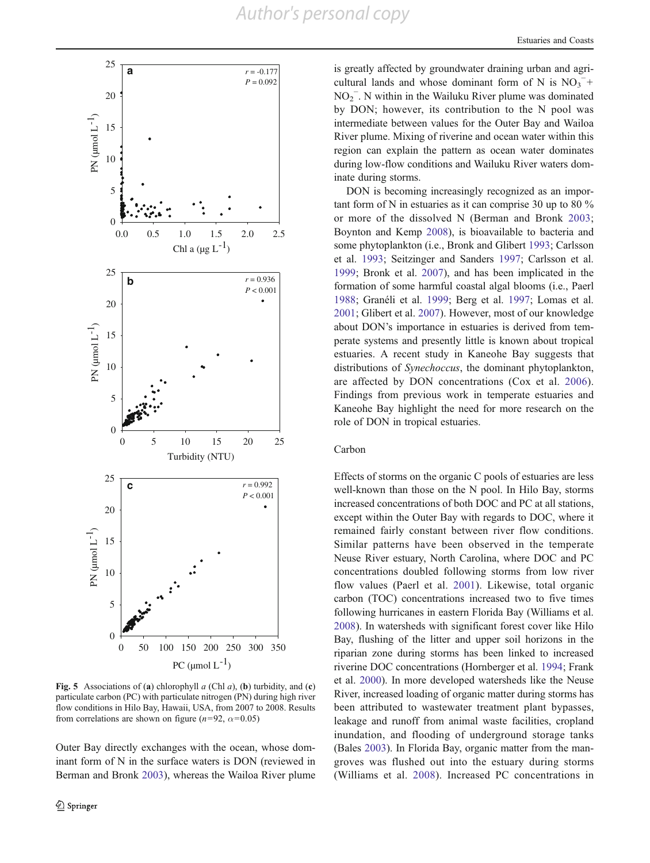<span id="page-11-0"></span>

Fig. 5 Associations of (a) chlorophyll  $a$  (Chl  $a$ ), (b) turbidity, and (c) particulate carbon (PC) with particulate nitrogen (PN) during high river flow conditions in Hilo Bay, Hawaii, USA, from 2007 to 2008. Results from correlations are shown on figure ( $n=92$ ,  $\alpha=0.05$ )

Outer Bay directly exchanges with the ocean, whose dominant form of N in the surface waters is DON (reviewed in Berman and Bronk [2003](#page-14-0)), whereas the Wailoa River plume is greatly affected by groundwater draining urban and agricultural lands and whose dominant form of N is  $NO_3^-$ +  $NO<sub>2</sub><sup>-</sup>$ . N within in the Wailuku River plume was dominated by DON; however, its contribution to the N pool was intermediate between values for the Outer Bay and Wailoa River plume. Mixing of riverine and ocean water within this region can explain the pattern as ocean water dominates during low-flow conditions and Wailuku River waters dominate during storms.

DON is becoming increasingly recognized as an important form of N in estuaries as it can comprise 30 up to 80 % or more of the dissolved N (Berman and Bronk [2003;](#page-14-0) Boynton and Kemp [2008\)](#page-14-0), is bioavailable to bacteria and some phytoplankton (i.e., Bronk and Glibert [1993](#page-14-0); Carlsson et al. [1993](#page-14-0); Seitzinger and Sanders [1997](#page-15-0); Carlsson et al. [1999](#page-14-0); Bronk et al. [2007\)](#page-14-0), and has been implicated in the formation of some harmful coastal algal blooms (i.e., Paerl [1988](#page-15-0); Granéli et al. [1999](#page-14-0); Berg et al. [1997;](#page-14-0) Lomas et al. [2001](#page-15-0); Glibert et al. [2007](#page-14-0)). However, most of our knowledge about DON's importance in estuaries is derived from temperate systems and presently little is known about tropical estuaries. A recent study in Kaneohe Bay suggests that distributions of *Synechoccus*, the dominant phytoplankton, are affected by DON concentrations (Cox et al. [2006](#page-14-0)). Findings from previous work in temperate estuaries and Kaneohe Bay highlight the need for more research on the role of DON in tropical estuaries.

#### Carbon

Effects of storms on the organic C pools of estuaries are less well-known than those on the N pool. In Hilo Bay, storms increased concentrations of both DOC and PC at all stations, except within the Outer Bay with regards to DOC, where it remained fairly constant between river flow conditions. Similar patterns have been observed in the temperate Neuse River estuary, North Carolina, where DOC and PC concentrations doubled following storms from low river flow values (Paerl et al. [2001\)](#page-15-0). Likewise, total organic carbon (TOC) concentrations increased two to five times following hurricanes in eastern Florida Bay (Williams et al. [2008](#page-16-0)). In watersheds with significant forest cover like Hilo Bay, flushing of the litter and upper soil horizons in the riparian zone during storms has been linked to increased riverine DOC concentrations (Hornberger et al. [1994;](#page-15-0) Frank et al. [2000\)](#page-14-0). In more developed watersheds like the Neuse River, increased loading of organic matter during storms has been attributed to wastewater treatment plant bypasses, leakage and runoff from animal waste facilities, cropland inundation, and flooding of underground storage tanks (Bales [2003](#page-13-0)). In Florida Bay, organic matter from the mangroves was flushed out into the estuary during storms (Williams et al. [2008](#page-16-0)). Increased PC concentrations in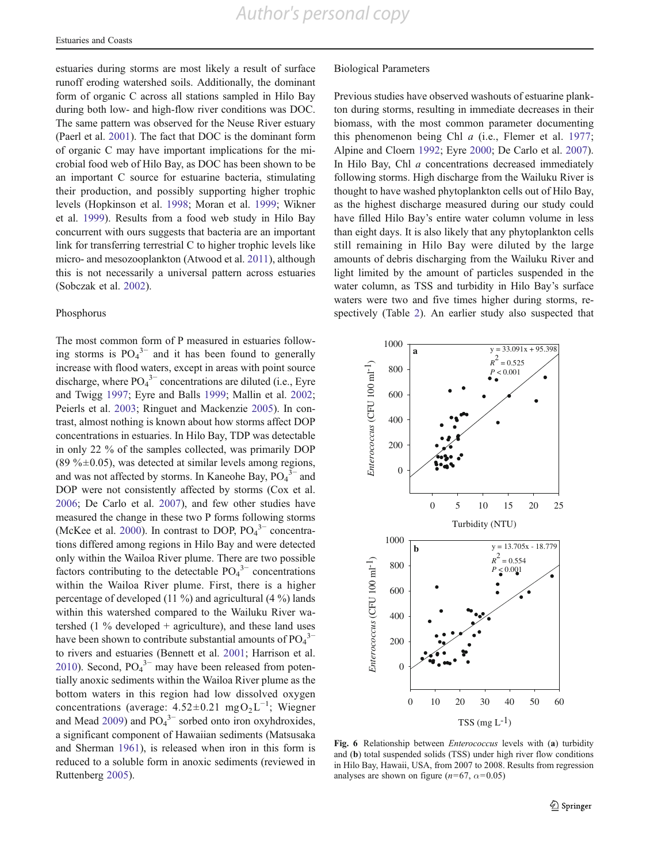<span id="page-12-0"></span>estuaries during storms are most likely a result of surface runoff eroding watershed soils. Additionally, the dominant form of organic C across all stations sampled in Hilo Bay during both low- and high-flow river conditions was DOC. The same pattern was observed for the Neuse River estuary (Paerl et al. [2001\)](#page-15-0). The fact that DOC is the dominant form of organic C may have important implications for the microbial food web of Hilo Bay, as DOC has been shown to be an important C source for estuarine bacteria, stimulating their production, and possibly supporting higher trophic levels (Hopkinson et al. [1998;](#page-14-0) Moran et al. [1999](#page-15-0); Wikner et al. [1999\)](#page-16-0). Results from a food web study in Hilo Bay concurrent with ours suggests that bacteria are an important link for transferring terrestrial C to higher trophic levels like micro- and mesozooplankton (Atwood et al. [2011](#page-13-0)), although this is not necessarily a universal pattern across estuaries (Sobczak et al. [2002](#page-15-0)).

#### Phosphorus

The most common form of P measured in estuaries following storms is  $PO_4^{3-}$  and it has been found to generally increase with flood waters, except in areas with point source discharge, where  $PO_4^{3-}$  concentrations are diluted (i.e., Eyre and Twigg [1997](#page-14-0); Eyre and Balls [1999](#page-14-0); Mallin et al. [2002](#page-15-0); Peierls et al. [2003;](#page-15-0) Ringuet and Mackenzie [2005\)](#page-15-0). In contrast, almost nothing is known about how storms affect DOP concentrations in estuaries. In Hilo Bay, TDP was detectable in only 22 % of the samples collected, was primarily DOP (89  $\% \pm 0.05$ ), was detected at similar levels among regions, and was not affected by storms. In Kaneohe Bay,  $\overline{PO_4}^{3-}$  and DOP were not consistently affected by storms (Cox et al. [2006;](#page-14-0) De Carlo et al. [2007\)](#page-14-0), and few other studies have measured the change in these two P forms following storms (McKee et al. [2000\)](#page-15-0). In contrast to DOP,  $PO<sub>4</sub><sup>3–</sup>$  concentrations differed among regions in Hilo Bay and were detected only within the Wailoa River plume. There are two possible factors contributing to the detectable  $PO_4^{3-}$  concentrations within the Wailoa River plume. First, there is a higher percentage of developed (11 %) and agricultural (4 %) lands within this watershed compared to the Wailuku River watershed  $(1\%$  developed + agriculture), and these land uses have been shown to contribute substantial amounts of  $PO_4^3$ to rivers and estuaries (Bennett et al. [2001;](#page-13-0) Harrison et al. [2010\)](#page-14-0). Second,  $PO_4^{3-}$  may have been released from potentially anoxic sediments within the Wailoa River plume as the bottom waters in this region had low dissolved oxygen concentrations (average:  $4.52 \pm 0.21$  mg $O_2L^{-1}$ ; Wiegner and Mead [2009\)](#page-16-0) and  $\overline{PO_4}^{3-}$  sorbed onto iron oxyhdroxides, a significant component of Hawaiian sediments (Matsusaka and Sherman [1961](#page-15-0)), is released when iron in this form is reduced to a soluble form in anoxic sediments (reviewed in Ruttenberg [2005\)](#page-15-0).

#### Biological Parameters

Previous studies have observed washouts of estuarine plankton during storms, resulting in immediate decreases in their biomass, with the most common parameter documenting this phenomenon being Chl a (i.e., Flemer et al. [1977;](#page-14-0) Alpine and Cloern [1992](#page-13-0); Eyre [2000;](#page-14-0) De Carlo et al. [2007\)](#page-14-0). In Hilo Bay, Chl *a* concentrations decreased immediately following storms. High discharge from the Wailuku River is thought to have washed phytoplankton cells out of Hilo Bay, as the highest discharge measured during our study could have filled Hilo Bay's entire water column volume in less than eight days. It is also likely that any phytoplankton cells still remaining in Hilo Bay were diluted by the large amounts of debris discharging from the Wailuku River and light limited by the amount of particles suspended in the water column, as TSS and turbidity in Hilo Bay's surface waters were two and five times higher during storms, respectively (Table [2\)](#page-8-0). An earlier study also suspected that



Fig. 6 Relationship between *Enterococcus* levels with (a) turbidity and (b) total suspended solids (TSS) under high river flow conditions in Hilo Bay, Hawaii, USA, from 2007 to 2008. Results from regression analyses are shown on figure ( $n=67$ ,  $\alpha=0.05$ )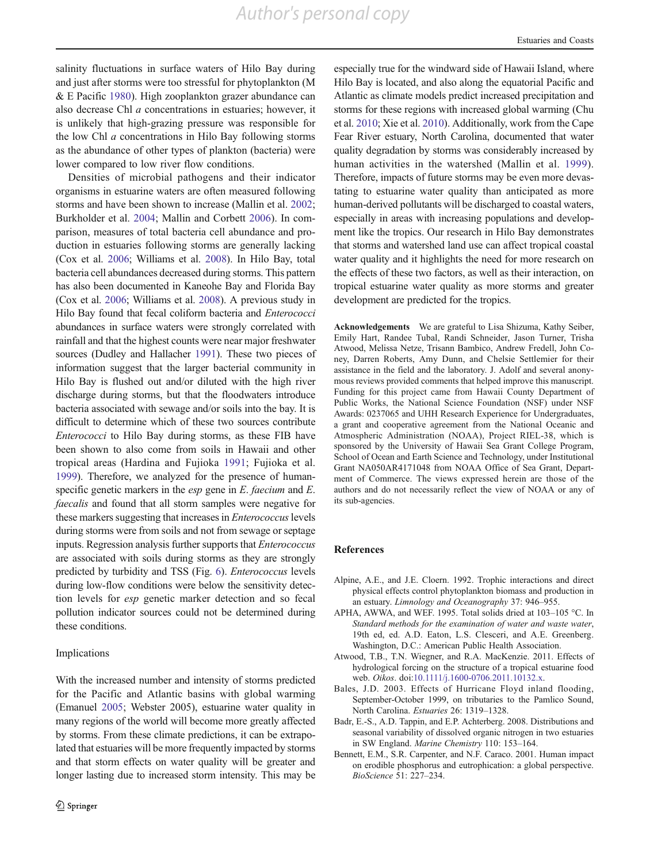*Author's personal copy*

<span id="page-13-0"></span>salinity fluctuations in surface waters of Hilo Bay during and just after storms were too stressful for phytoplankton (M & E Pacific [1980](#page-15-0)). High zooplankton grazer abundance can also decrease Chl a concentrations in estuaries; however, it is unlikely that high-grazing pressure was responsible for the low Chl a concentrations in Hilo Bay following storms as the abundance of other types of plankton (bacteria) were lower compared to low river flow conditions.

Densities of microbial pathogens and their indicator organisms in estuarine waters are often measured following storms and have been shown to increase (Mallin et al. [2002](#page-15-0); Burkholder et al. [2004](#page-14-0); Mallin and Corbett [2006](#page-15-0)). In comparison, measures of total bacteria cell abundance and production in estuaries following storms are generally lacking (Cox et al. [2006](#page-14-0); Williams et al. [2008\)](#page-16-0). In Hilo Bay, total bacteria cell abundances decreased during storms. This pattern has also been documented in Kaneohe Bay and Florida Bay (Cox et al. [2006;](#page-14-0) Williams et al. [2008\)](#page-16-0). A previous study in Hilo Bay found that fecal coliform bacteria and Enterococci abundances in surface waters were strongly correlated with rainfall and that the highest counts were near major freshwater sources (Dudley and Hallacher [1991](#page-14-0)). These two pieces of information suggest that the larger bacterial community in Hilo Bay is flushed out and/or diluted with the high river discharge during storms, but that the floodwaters introduce bacteria associated with sewage and/or soils into the bay. It is difficult to determine which of these two sources contribute Enterococci to Hilo Bay during storms, as these FIB have been shown to also come from soils in Hawaii and other tropical areas (Hardina and Fujioka [1991](#page-14-0); Fujioka et al. [1999\)](#page-14-0). Therefore, we analyzed for the presence of humanspecific genetic markers in the *esp* gene in E. faecium and E. faecalis and found that all storm samples were negative for these markers suggesting that increases in *Enterococcus* levels during storms were from soils and not from sewage or septage inputs. Regression analysis further supports that Enterococcus are associated with soils during storms as they are strongly predicted by turbidity and TSS (Fig. [6\)](#page-12-0). Enterococcus levels during low-flow conditions were below the sensitivity detection levels for esp genetic marker detection and so fecal pollution indicator sources could not be determined during these conditions.

#### Implications

With the increased number and intensity of storms predicted for the Pacific and Atlantic basins with global warming (Emanuel [2005;](#page-14-0) Webster 2005), estuarine water quality in many regions of the world will become more greatly affected by storms. From these climate predictions, it can be extrapolated that estuaries will be more frequently impacted by storms and that storm effects on water quality will be greater and longer lasting due to increased storm intensity. This may be

especially true for the windward side of Hawaii Island, where Hilo Bay is located, and also along the equatorial Pacific and Atlantic as climate models predict increased precipitation and storms for these regions with increased global warming (Chu et al. [2010](#page-14-0); Xie et al. [2010\)](#page-16-0). Additionally, work from the Cape Fear River estuary, North Carolina, documented that water quality degradation by storms was considerably increased by human activities in the watershed (Mallin et al. [1999](#page-15-0)). Therefore, impacts of future storms may be even more devastating to estuarine water quality than anticipated as more human-derived pollutants will be discharged to coastal waters, especially in areas with increasing populations and development like the tropics. Our research in Hilo Bay demonstrates that storms and watershed land use can affect tropical coastal water quality and it highlights the need for more research on the effects of these two factors, as well as their interaction, on tropical estuarine water quality as more storms and greater development are predicted for the tropics.

Acknowledgements We are grateful to Lisa Shizuma, Kathy Seiber, Emily Hart, Randee Tubal, Randi Schneider, Jason Turner, Trisha Atwood, Melissa Netze, Trisann Bambico, Andrew Fredell, John Coney, Darren Roberts, Amy Dunn, and Chelsie Settlemier for their assistance in the field and the laboratory. J. Adolf and several anonymous reviews provided comments that helped improve this manuscript. Funding for this project came from Hawaii County Department of Public Works, the National Science Foundation (NSF) under NSF Awards: 0237065 and UHH Research Experience for Undergraduates, a grant and cooperative agreement from the National Oceanic and Atmospheric Administration (NOAA), Project RIEL-38, which is sponsored by the University of Hawaii Sea Grant College Program, School of Ocean and Earth Science and Technology, under Institutional Grant NA050AR4171048 from NOAA Office of Sea Grant, Department of Commerce. The views expressed herein are those of the authors and do not necessarily reflect the view of NOAA or any of its sub-agencies.

#### References

- Alpine, A.E., and J.E. Cloern. 1992. Trophic interactions and direct physical effects control phytoplankton biomass and production in an estuary. Limnology and Oceanography 37: 946–955.
- APHA, AWWA, and WEF. 1995. Total solids dried at 103–105 °C. In Standard methods for the examination of water and waste water, 19th ed, ed. A.D. Eaton, L.S. Clesceri, and A.E. Greenberg. Washington, D.C.: American Public Health Association.
- Atwood, T.B., T.N. Wiegner, and R.A. MacKenzie. 2011. Effects of hydrological forcing on the structure of a tropical estuarine food web. Oikos. doi[:10.1111/j.1600-0706.2011.10132.x.](http://dx.doi.org/10.1111/j.1600-0706.2011.10132.x)
- Bales, J.D. 2003. Effects of Hurricane Floyd inland flooding, September-October 1999, on tributaries to the Pamlico Sound, North Carolina. Estuaries 26: 1319–1328.
- Badr, E.-S., A.D. Tappin, and E.P. Achterberg. 2008. Distributions and seasonal variability of dissolved organic nitrogen in two estuaries in SW England. Marine Chemistry 110: 153–164.
- Bennett, E.M., S.R. Carpenter, and N.F. Caraco. 2001. Human impact on erodible phosphorus and eutrophication: a global perspective. BioScience 51: 227–234.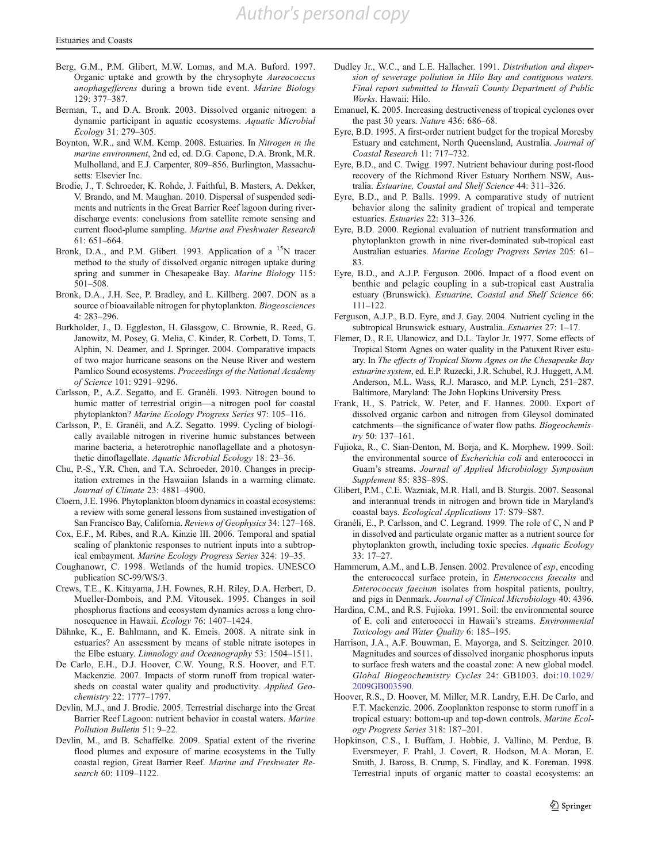- <span id="page-14-0"></span>Berg, G.M., P.M. Glibert, M.W. Lomas, and M.A. Buford. 1997. Organic uptake and growth by the chrysophyte Aureococcus anophagefferens during a brown tide event. Marine Biology 129: 377–387.
- Berman, T., and D.A. Bronk. 2003. Dissolved organic nitrogen: a dynamic participant in aquatic ecosystems. Aquatic Microbial Ecology 31: 279–305.
- Boynton, W.R., and W.M. Kemp. 2008. Estuaries. In Nitrogen in the marine environment, 2nd ed, ed. D.G. Capone, D.A. Bronk, M.R. Mulholland, and E.J. Carpenter, 809–856. Burlington, Massachusetts: Elsevier Inc.
- Brodie, J., T. Schroeder, K. Rohde, J. Faithful, B. Masters, A. Dekker, V. Brando, and M. Maughan. 2010. Dispersal of suspended sediments and nutrients in the Great Barrier Reef lagoon during riverdischarge events: conclusions from satellite remote sensing and current flood-plume sampling. Marine and Freshwater Research 61: 651–664.
- Bronk, D.A., and P.M. Glibert. 1993. Application of a <sup>15</sup>N tracer method to the study of dissolved organic nitrogen uptake during spring and summer in Chesapeake Bay. Marine Biology 115: 501–508.
- Bronk, D.A., J.H. See, P. Bradley, and L. Killberg. 2007. DON as a source of bioavailable nitrogen for phytoplankton. Biogeosciences 4: 283–296.
- Burkholder, J., D. Eggleston, H. Glassgow, C. Brownie, R. Reed, G. Janowitz, M. Posey, G. Melia, C. Kinder, R. Corbett, D. Toms, T. Alphin, N. Deamer, and J. Springer. 2004. Comparative impacts of two major hurricane seasons on the Neuse River and western Pamlico Sound ecosystems. Proceedings of the National Academy of Science 101: 9291–9296.
- Carlsson, P., A.Z. Segatto, and E. Granéli. 1993. Nitrogen bound to humic matter of terrestrial origin—a nitrogen pool for coastal phytoplankton? Marine Ecology Progress Series 97: 105–116.
- Carlsson, P., E. Granéli, and A.Z. Segatto. 1999. Cycling of biologically available nitrogen in riverine humic substances between marine bacteria, a heterotrophic nanoflagellate and a photosynthetic dinoflagellate. Aquatic Microbial Ecology 18: 23–36.
- Chu, P.-S., Y.R. Chen, and T.A. Schroeder. 2010. Changes in precipitation extremes in the Hawaiian Islands in a warming climate. Journal of Climate 23: 4881–4900.
- Cloern, J.E. 1996. Phytoplankton bloom dynamics in coastal ecosystems: a review with some general lessons from sustained investigation of San Francisco Bay, California. Reviews of Geophysics 34: 127–168.
- Cox, E.F., M. Ribes, and R.A. Kinzie III. 2006. Temporal and spatial scaling of planktonic responses to nutrient inputs into a subtropical embayment. Marine Ecology Progress Series 324: 19–35.
- Coughanowr, C. 1998. Wetlands of the humid tropics. UNESCO publication SC-99/WS/3.
- Crews, T.E., K. Kitayama, J.H. Fownes, R.H. Riley, D.A. Herbert, D. Mueller-Dombois, and P.M. Vitousek. 1995. Changes in soil phosphorus fractions and ecosystem dynamics across a long chronosequence in Hawaii. Ecology 76: 1407–1424.
- Dähnke, K., E. Bahlmann, and K. Emeis. 2008. A nitrate sink in estuaries? An assessment by means of stable nitrate isotopes in the Elbe estuary. Limnology and Oceanography 53: 1504–1511.
- De Carlo, E.H., D.J. Hoover, C.W. Young, R.S. Hoover, and F.T. Mackenzie. 2007. Impacts of storm runoff from tropical watersheds on coastal water quality and productivity. Applied Geochemistry 22: 1777–1797.
- Devlin, M.J., and J. Brodie. 2005. Terrestrial discharge into the Great Barrier Reef Lagoon: nutrient behavior in coastal waters. Marine Pollution Bulletin 51: 9–22.
- Devlin, M., and B. Schaffelke. 2009. Spatial extent of the riverine flood plumes and exposure of marine ecosystems in the Tully coastal region, Great Barrier Reef. Marine and Freshwater Research 60: 1109–1122.
- Dudley Jr., W.C., and L.E. Hallacher. 1991. Distribution and dispersion of sewerage pollution in Hilo Bay and contiguous waters. Final report submitted to Hawaii County Department of Public Works. Hawaii: Hilo.
- Emanuel, K. 2005. Increasing destructiveness of tropical cyclones over the past 30 years. Nature 436: 686–68.
- Eyre, B.D. 1995. A first-order nutrient budget for the tropical Moresby Estuary and catchment, North Queensland, Australia. Journal of Coastal Research 11: 717–732.
- Eyre, B.D., and C. Twigg. 1997. Nutrient behaviour during post-flood recovery of the Richmond River Estuary Northern NSW, Australia. Estuarine, Coastal and Shelf Science 44: 311–326.
- Eyre, B.D., and P. Balls. 1999. A comparative study of nutrient behavior along the salinity gradient of tropical and temperate estuaries. Estuaries 22: 313–326.
- Eyre, B.D. 2000. Regional evaluation of nutrient transformation and phytoplankton growth in nine river-dominated sub-tropical east Australian estuaries. Marine Ecology Progress Series 205: 61– 83.
- Eyre, B.D., and A.J.P. Ferguson. 2006. Impact of a flood event on benthic and pelagic coupling in a sub-tropical east Australia estuary (Brunswick). Estuarine, Coastal and Shelf Science 66: 111–122.
- Ferguson, A.J.P., B.D. Eyre, and J. Gay. 2004. Nutrient cycling in the subtropical Brunswick estuary, Australia. Estuaries 27: 1–17.
- Flemer, D., R.E. Ulanowicz, and D.L. Taylor Jr. 1977. Some effects of Tropical Storm Agnes on water quality in the Patuxent River estuary. In The effects of Tropical Storm Agnes on the Chesapeake Bay estuarine system, ed. E.P. Ruzecki, J.R. Schubel, R.J. Huggett, A.M. Anderson, M.L. Wass, R.J. Marasco, and M.P. Lynch, 251–287. Baltimore, Maryland: The John Hopkins University Press.
- Frank, H., S. Patrick, W. Peter, and F. Hannes. 2000. Export of dissolved organic carbon and nitrogen from Gleysol dominated catchments—the significance of water flow paths. Biogeochemistry 50: 137–161.
- Fujioka, R., C. Sian-Denton, M. Borja, and K. Morphew. 1999. Soil: the environmental source of Escherichia coli and enterococci in Guam's streams. Journal of Applied Microbiology Symposium Supplement 85: 83S–89S.
- Glibert, P.M., C.E. Wazniak, M.R. Hall, and B. Sturgis. 2007. Seasonal and interannual trends in nitrogen and brown tide in Maryland's coastal bays. Ecological Applications 17: S79–S87.
- Granéli, E., P. Carlsson, and C. Legrand. 1999. The role of C, N and P in dissolved and particulate organic matter as a nutrient source for phytoplankton growth, including toxic species. Aquatic Ecology 33: 17–27.
- Hammerum, A.M., and L.B. Jensen. 2002. Prevalence of esp, encoding the enterococcal surface protein, in Enterococcus faecalis and Enterococcus faecium isolates from hospital patients, poultry, and pigs in Denmark. Journal of Clinical Microbiology 40: 4396.
- Hardina, C.M., and R.S. Fujioka. 1991. Soil: the environmental source of E. coli and enterococci in Hawaii's streams. Environmental Toxicology and Water Quality 6: 185–195.
- Harrison, J.A., A.F. Bouwman, E. Mayorga, and S. Seitzinger. 2010. Magnitudes and sources of dissolved inorganic phosphorus inputs to surface fresh waters and the coastal zone: A new global model. Global Biogeochemistry Cycles 24: GB1003. doi[:10.1029/](http://dx.doi.org/10.1029/2009GB003590) [2009GB003590](http://dx.doi.org/10.1029/2009GB003590).
- Hoover, R.S., D. Hoover, M. Miller, M.R. Landry, E.H. De Carlo, and F.T. Mackenzie. 2006. Zooplankton response to storm runoff in a tropical estuary: bottom-up and top-down controls. Marine Ecology Progress Series 318: 187–201.
- Hopkinson, C.S., I. Buffam, J. Hobbie, J. Vallino, M. Perdue, B. Eversmeyer, F. Prahl, J. Covert, R. Hodson, M.A. Moran, E. Smith, J. Baross, B. Crump, S. Findlay, and K. Foreman. 1998. Terrestrial inputs of organic matter to coastal ecosystems: an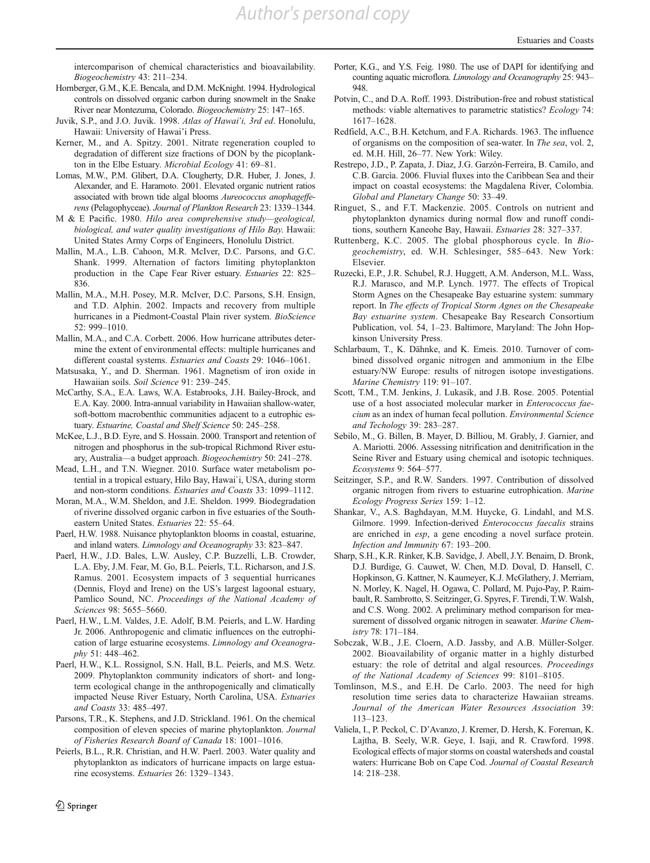<span id="page-15-0"></span>intercomparison of chemical characteristics and bioavailability. Biogeochemistry 43: 211–234.

- Hornberger, G.M., K.E. Bencala, and D.M. McKnight. 1994. Hydrological controls on dissolved organic carbon during snowmelt in the Snake River near Montezuma, Colorado. Biogeochemistry 25: 147–165.
- Juvik, S.P., and J.O. Juvik. 1998. Atlas of Hawai'i, 3rd ed. Honolulu, Hawaii: University of Hawai'i Press.
- Kerner, M., and A. Spitzy. 2001. Nitrate regeneration coupled to degradation of different size fractions of DON by the picoplankton in the Elbe Estuary. Microbial Ecology 41: 69–81.
- Lomas, M.W., P.M. Glibert, D.A. Clougherty, D.R. Huber, J. Jones, J. Alexander, and E. Haramoto. 2001. Elevated organic nutrient ratios associated with brown tide algal blooms Aureococcus anophagefferens (Pelagophyceae). Journal of Plankton Research 23: 1339–1344.
- M & E Pacific. 1980. Hilo area comprehensive study—geological, biological, and water quality investigations of Hilo Bay. Hawaii: United States Army Corps of Engineers, Honolulu District.
- Mallin, M.A., L.B. Cahoon, M.R. McIver, D.C. Parsons, and G.C. Shank. 1999. Alternation of factors limiting phytoplankton production in the Cape Fear River estuary. Estuaries 22: 825– 836.
- Mallin, M.A., M.H. Posey, M.R. McIver, D.C. Parsons, S.H. Ensign, and T.D. Alphin. 2002. Impacts and recovery from multiple hurricanes in a Piedmont-Coastal Plain river system. BioScience 52: 999–1010.
- Mallin, M.A., and C.A. Corbett. 2006. How hurricane attributes determine the extent of environmental effects: multiple hurricanes and different coastal systems. Estuaries and Coasts 29: 1046–1061.
- Matsusaka, Y., and D. Sherman. 1961. Magnetism of iron oxide in Hawaiian soils. Soil Science 91: 239–245.
- McCarthy, S.A., E.A. Laws, W.A. Estabrooks, J.H. Bailey-Brock, and E.A. Kay. 2000. Intra-annual variability in Hawaiian shallow-water, soft-bottom macrobenthic communities adjacent to a eutrophic estuary. Estuarine, Coastal and Shelf Science 50: 245–258.
- McKee, L.J., B.D. Eyre, and S. Hossain. 2000. Transport and retention of nitrogen and phosphorus in the sub-tropical Richmond River estuary, Australia—a budget approach. Biogeochemistry 50: 241–278.
- Mead, L.H., and T.N. Wiegner. 2010. Surface water metabolism potential in a tropical estuary, Hilo Bay, Hawai`i, USA, during storm and non-storm conditions. Estuaries and Coasts 33: 1099–1112.
- Moran, M.A., W.M. Sheldon, and J.E. Sheldon. 1999. Biodegradation of riverine dissolved organic carbon in five estuaries of the Southeastern United States. Estuaries 22: 55–64.
- Paerl, H.W. 1988. Nuisance phytoplankton blooms in coastal, estuarine, and inland waters. Limnology and Oceanography 33: 823–847.
- Paerl, H.W., J.D. Bales, L.W. Ausley, C.P. Buzzelli, L.B. Crowder, L.A. Eby, J.M. Fear, M. Go, B.L. Peierls, T.L. Richarson, and J.S. Ramus. 2001. Ecosystem impacts of 3 sequential hurricanes (Dennis, Floyd and Irene) on the US's largest lagoonal estuary, Pamlico Sound, NC. Proceedings of the National Academy of Sciences 98: 5655–5660.
- Paerl, H.W., L.M. Valdes, J.E. Adolf, B.M. Peierls, and L.W. Harding Jr. 2006. Anthropogenic and climatic influences on the eutrophication of large estuarine ecosystems. Limnology and Oceanography 51: 448–462.
- Paerl, H.W., K.L. Rossignol, S.N. Hall, B.L. Peierls, and M.S. Wetz. 2009. Phytoplankton community indicators of short- and longterm ecological change in the anthropogenically and climatically impacted Neuse River Estuary, North Carolina, USA. Estuaries and Coasts 33: 485–497.
- Parsons, T.R., K. Stephens, and J.D. Strickland. 1961. On the chemical composition of eleven species of marine phytoplankton. Journal of Fisheries Research Board of Canada 18: 1001–1016.
- Peierls, B.L., R.R. Christian, and H.W. Paerl. 2003. Water quality and phytoplankton as indicators of hurricane impacts on large estuarine ecosystems. Estuaries 26: 1329–1343.
- Porter, K.G., and Y.S. Feig. 1980. The use of DAPI for identifying and counting aquatic microflora. Limnology and Oceanography 25: 943– 948.
- Potvin, C., and D.A. Roff. 1993. Distribution-free and robust statistical methods: viable alternatives to parametric statistics? Ecology 74: 1617–1628.
- Redfield, A.C., B.H. Ketchum, and F.A. Richards. 1963. The influence of organisms on the composition of sea-water. In The sea, vol. 2, ed. M.H. Hill, 26–77. New York: Wiley.
- Restrepo, J.D., P. Zapata, J. Dìaz, J.G. Garzón-Ferreira, B. Camilo, and C.B. Garcìa. 2006. Fluvial fluxes into the Caribbean Sea and their impact on coastal ecosystems: the Magdalena River, Colombia. Global and Planetary Change 50: 33–49.
- Ringuet, S., and F.T. Mackenzie. 2005. Controls on nutrient and phytoplankton dynamics during normal flow and runoff conditions, southern Kaneohe Bay, Hawaii. Estuaries 28: 327–337.
- Ruttenberg, K.C. 2005. The global phosphorous cycle. In Biogeochemistry, ed. W.H. Schlesinger, 585–643. New York: Elsevier.
- Ruzecki, E.P., J.R. Schubel, R.J. Huggett, A.M. Anderson, M.L. Wass, R.J. Marasco, and M.P. Lynch. 1977. The effects of Tropical Storm Agnes on the Chesapeake Bay estuarine system: summary report. In The effects of Tropical Storm Agnes on the Chesapeake Bay estuarine system. Chesapeake Bay Research Consortium Publication, vol. 54, 1–23. Baltimore, Maryland: The John Hopkinson University Press.
- Schlarbaum, T., K. Dähnke, and K. Emeis. 2010. Turnover of combined dissolved organic nitrogen and ammonium in the Elbe estuary/NW Europe: results of nitrogen isotope investigations. Marine Chemistry 119: 91–107.
- Scott, T.M., T.M. Jenkins, J. Lukasik, and J.B. Rose. 2005. Potential use of a host associated molecular marker in Enterococcus faecium as an index of human fecal pollution. Environmental Science and Techology 39: 283–287.
- Sebilo, M., G. Billen, B. Mayer, D. Billiou, M. Grably, J. Garnier, and A. Mariotti. 2006. Assessing nitrification and denitrification in the Seine River and Estuary using chemical and isotopic techniques. Ecosystems 9: 564–577.
- Seitzinger, S.P., and R.W. Sanders. 1997. Contribution of dissolved organic nitrogen from rivers to estuarine eutrophication. Marine Ecology Progress Series 159: 1–12.
- Shankar, V., A.S. Baghdayan, M.M. Huycke, G. Lindahl, and M.S. Gilmore. 1999. Infection-derived Enterococcus faecalis strains are enriched in esp, a gene encoding a novel surface protein. Infection and Immunity 67: 193–200.
- Sharp, S.H., K.R. Rinker, K.B. Savidge, J. Abell, J.Y. Benaim, D. Bronk, D.J. Burdige, G. Cauwet, W. Chen, M.D. Doval, D. Hansell, C. Hopkinson, G. Kattner, N. Kaumeyer, K.J. McGlathery, J. Merriam, N. Morley, K. Nagel, H. Ogawa, C. Pollard, M. Pujo-Pay, P. Raimbault, R. Sambrotto, S. Seitzinger, G. Spyres, F. Tirendi, T.W. Walsh, and C.S. Wong. 2002. A preliminary method comparison for measurement of dissolved organic nitrogen in seawater. Marine Chemistry 78: 171–184.
- Sobczak, W.B., J.E. Cloern, A.D. Jassby, and A.B. Müller-Solger. 2002. Bioavailability of organic matter in a highly disturbed estuary: the role of detrital and algal resources. Proceedings of the National Academy of Sciences 99: 8101–8105.
- Tomlinson, M.S., and E.H. De Carlo. 2003. The need for high resolution time series data to characterize Hawaiian streams. Journal of the American Water Resources Association 39: 113–123.
- Valiela, I., P. Peckol, C. D'Avanzo, J. Kremer, D. Hersh, K. Foreman, K. Lajtha, B. Seely, W.R. Geye, I. Isaji, and R. Crawford. 1998. Ecological effects of major storms on coastal watersheds and coastal waters: Hurricane Bob on Cape Cod. Journal of Coastal Research 14: 218–238.